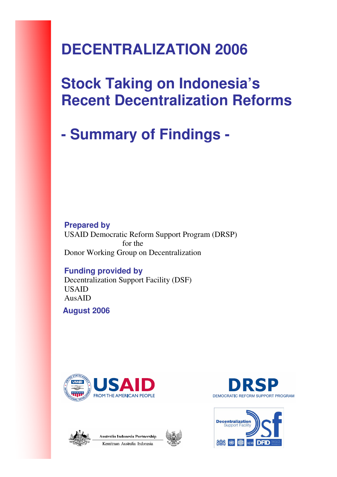# **DECENTRALIZATION 2006**

# **Stock Taking on Indonesia's Recent Decentralization Reforms**

# **- Summary of Findings -**

**Prepared by**  USAID Democratic Reform Support Program (DRSP) for the Donor Working Group on Decentralization

#### **Funding provided by**  Decentralization Support Facility (DSF) USAID AusAID

**August 2006** 







Australia Indonesia Partnershin Kemitraan Australia Indonesia



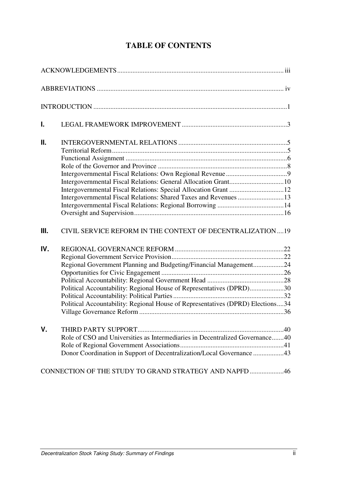| Ι.          |                                                                                |  |
|-------------|--------------------------------------------------------------------------------|--|
| Ш.          |                                                                                |  |
|             |                                                                                |  |
|             |                                                                                |  |
|             |                                                                                |  |
|             | Intergovernmental Fiscal Relations: General Allocation Grant10                 |  |
|             |                                                                                |  |
|             | Intergovernmental Fiscal Relations: Shared Taxes and Revenues 13               |  |
|             |                                                                                |  |
|             |                                                                                |  |
| III.        | CIVIL SERVICE REFORM IN THE CONTEXT OF DECENTRALIZATION19                      |  |
| IV.         |                                                                                |  |
|             |                                                                                |  |
|             | Regional Government Planning and Budgeting/Financial Management24              |  |
|             |                                                                                |  |
|             |                                                                                |  |
|             | Political Accountability: Regional House of Representatives (DPRD)30           |  |
|             |                                                                                |  |
|             | Political Accountability: Regional House of Representatives (DPRD) Elections34 |  |
| $V_{\cdot}$ |                                                                                |  |
|             | Role of CSO and Universities as Intermediaries in Decentralized Governance40   |  |
|             |                                                                                |  |
|             | Donor Coordination in Support of Decentralization/Local Governance 43          |  |
|             | CONNECTION OF THE STUDY TO GRAND STRATEGY AND NAPFD 46                         |  |

# **TABLE OF CONTENTS**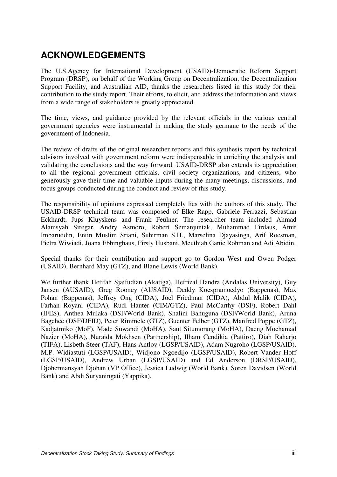# **ACKNOWLEDGEMENTS**

The U.S.Agency for International Development (USAID)-Democratic Reform Support Program (DRSP), on behalf of the Working Group on Decentralization, the Decentralization Support Facility, and Australian AID, thanks the researchers listed in this study for their contribution to the study report. Their efforts, to elicit, and address the information and views from a wide range of stakeholders is greatly appreciated.

The time, views, and guidance provided by the relevant officials in the various central government agencies were instrumental in making the study germane to the needs of the government of Indonesia.

The review of drafts of the original researcher reports and this synthesis report by technical advisors involved with government reform were indispensable in enriching the analysis and validating the conclusions and the way forward. USAID-DRSP also extends its appreciation to all the regional government officials, civil society organizations, and citizens, who generously gave their time and valuable inputs during the many meetings, discussions, and focus groups conducted during the conduct and review of this study.

The responsibility of opinions expressed completely lies with the authors of this study. The USAID-DRSP technical team was composed of Elke Rapp, Gabriele Ferrazzi, Sebastian Eckhardt, Jups Kluyskens and Frank Feulner. The researcher team included Ahmad Alamsyah Siregar, Andry Asmoro, Robert Semanjuntak, Muhammad Firdaus, Amir Imbaruddin, Entin Muslim Sriani, Suhirman S.H., Marselina Djayasinga, Arif Roesman, Pietra Wiwiadi, Joana Ebbinghaus, Firsty Husbani, Meuthiah Ganie Rohman and Adi Abidin.

Special thanks for their contribution and support go to Gordon West and Owen Podger (USAID), Bernhard May (GTZ), and Blane Lewis (World Bank).

We further thank Hetifah Sjaifudian (Akatiga), Hefrizal Handra (Andalas University), Guy Jansen (AUSAID), Greg Rooney (AUSAID), Deddy Koespramoedyo (Bappenas), Max Pohan (Bappenas), Jeffrey Ong (CIDA), Joel Friedman (CIDA), Abdul Malik (CIDA), Farhan Royani (CIDA), Rudi Hauter (CIM/GTZ), Paul McCarthy (DSF), Robert Dahl (IFES), Anthea Mulaka (DSF/World Bank), Shalini Bahuguna (DSF/World Bank), Aruna Bagchee (DSF/DFID), Peter Rimmele (GTZ), Guenter Felber (GTZ), Manfred Poppe (GTZ), Kadjatmiko (MoF), Made Suwandi (MoHA), Saut Situmorang (MoHA), Daeng Mochamad Nazier (MoHA), Nuraida Mokhsen (Partnership), Ilham Cendikia (Pattiro), Diah Raharjo (TIFA), Lisbeth Steer (TAF), Hans Antlov (LGSP/USAID), Adam Nugroho (LGSP/USAID), M.P. Widiastuti (LGSP/USAID), Widjono Ngoedijo (LGSP/USAID), Robert Vander Hoff (LGSP/USAID), Andrew Urban (LGSP/USAID) and Ed Anderson (DRSP/USAID), Djohermansyah Djohan (VP Office), Jessica Ludwig (World Bank), Soren Davidsen (World Bank) and Abdi Suryaningati (Yappika).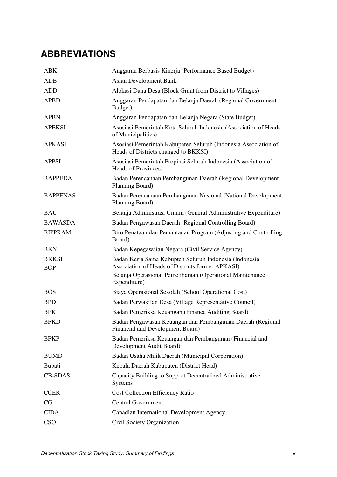# **ABBREVIATIONS**

| <b>ABK</b>                 | Anggaran Berbasis Kinerja (Performance Based Budget)                                                       |
|----------------------------|------------------------------------------------------------------------------------------------------------|
| <b>ADB</b>                 | <b>Asian Development Bank</b>                                                                              |
| <b>ADD</b>                 | Alokasi Dana Desa (Block Grant from District to Villages)                                                  |
| <b>APBD</b>                | Anggaran Pendapatan dan Belanja Daerah (Regional Government<br>Budget)                                     |
| <b>APBN</b>                | Anggaran Pendapatan dan Belanja Negara (State Budget)                                                      |
| <b>APEKSI</b>              | Asosiasi Pemerintah Kota Seluruh Indonesia (Association of Heads<br>of Municipalities)                     |
| <b>APKASI</b>              | Asosiasi Pemerintah Kabupaten Seluruh (Indonesia Association of<br>Heads of Districts changed to BKKSI)    |
| <b>APPSI</b>               | Asosiasi Pemerintah Propinsi Seluruh Indonesia (Association of<br>Heads of Provinces)                      |
| <b>BAPPEDA</b>             | Badan Perencanaan Pembangunan Daerah (Regional Development<br>Planning Board)                              |
| <b>BAPPENAS</b>            | Badan Perencanaan Pembangunan Nasional (National Development<br>Planning Board)                            |
| <b>BAU</b>                 | Belanja Administrasi Umum (General Administrative Expenditure)                                             |
| <b>BAWASDA</b>             | Badan Pengawasan Daerah (Regional Controlling Board)                                                       |
| <b>BIPPRAM</b>             | Biro Penataan dan Pemantauan Program (Adjusting and Controlling<br>Board)                                  |
| <b>BKN</b>                 | Badan Kepegawaian Negara (Civil Service Agency)                                                            |
| <b>BKKSI</b><br><b>BOP</b> | Badan Kerja Sama Kabupten Seluruh Indonesia (Indonesia<br>Association of Heads of Districts former APKASI) |
|                            | Belanja Operasional Pemeliharaan (Operational Maintenance<br>Expenditure)                                  |
| <b>BOS</b>                 | Biaya Operasional Sekolah (School Operational Cost)                                                        |
| <b>BPD</b>                 | Badan Perwakilan Desa (Village Representative Council)                                                     |
| <b>BPK</b>                 | Badan Pemeriksa Keuangan (Finance Auditing Board)                                                          |
| <b>BPKD</b>                | Badan Pengawasan Keuangan dan Pembangunan Daerah (Regional<br>Financial and Development Board)             |
| <b>BPKP</b>                | Badan Pemeriksa Keuangan dan Pembangunan (Financial and<br>Development Audit Board)                        |
| <b>BUMD</b>                | Badan Usaha Milik Daerah (Municipal Corporation)                                                           |
| Bupati                     | Kepala Daerah Kabupaten (District Head)                                                                    |
| <b>CB-SDAS</b>             | Capacity Building to Support Decentralized Administrative<br>Systems                                       |
| <b>CCER</b>                | <b>Cost Collection Efficiency Ratio</b>                                                                    |
| CG                         | <b>Central Government</b>                                                                                  |
| <b>CIDA</b>                | Canadian International Development Agency                                                                  |
| <b>CSO</b>                 | Civil Society Organization                                                                                 |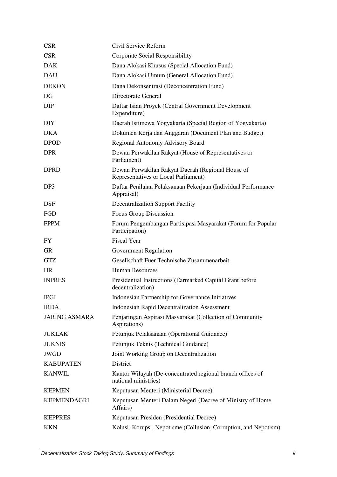| <b>CSR</b>           | Civil Service Reform                                                                      |  |  |
|----------------------|-------------------------------------------------------------------------------------------|--|--|
| <b>CSR</b>           | Corporate Social Responsibility                                                           |  |  |
| <b>DAK</b>           | Dana Alokasi Khusus (Special Allocation Fund)                                             |  |  |
| <b>DAU</b>           | Dana Alokasi Umum (General Allocation Fund)                                               |  |  |
| <b>DEKON</b>         | Dana Dekonsentrasi (Deconcentration Fund)                                                 |  |  |
| DG                   | Directorate General                                                                       |  |  |
| <b>DIP</b>           | Daftar Isian Proyek (Central Government Development<br>Expenditure)                       |  |  |
| <b>DIY</b>           | Daerah Istimewa Yogyakarta (Special Region of Yogyakarta)                                 |  |  |
| <b>DKA</b>           | Dokumen Kerja dan Anggaran (Document Plan and Budget)                                     |  |  |
| <b>DPOD</b>          | Regional Autonomy Advisory Board                                                          |  |  |
| <b>DPR</b>           | Dewan Perwakilan Rakyat (House of Representatives or<br>Parliament)                       |  |  |
| <b>DPRD</b>          | Dewan Perwakilan Rakyat Daerah (Regional House of<br>Representatives or Local Parliament) |  |  |
| DP <sub>3</sub>      | Daftar Penilaian Pelaksanaan Pekerjaan (Individual Performance<br>Appraisal)              |  |  |
| <b>DSF</b>           | <b>Decentralization Support Facility</b>                                                  |  |  |
| FGD                  | Focus Group Discussion                                                                    |  |  |
| <b>FPPM</b>          | Forum Pengembangan Partisipasi Masyarakat (Forum for Popular<br>Participation)            |  |  |
| FY                   | <b>Fiscal Year</b>                                                                        |  |  |
| <b>GR</b>            | Government Regulation                                                                     |  |  |
| <b>GTZ</b>           | Gesellschaft Fuer Technische Zusammenarbeit                                               |  |  |
| <b>HR</b>            | <b>Human Resources</b>                                                                    |  |  |
| <b>INPRES</b>        | Presidential Instructions (Earmarked Capital Grant before<br>decentralization)            |  |  |
| <b>IPGI</b>          | Indonesian Partnership for Governance Initiatives                                         |  |  |
| <b>IRDA</b>          | <b>Indonesian Rapid Decentralization Assessment</b>                                       |  |  |
| <b>JARING ASMARA</b> | Penjaringan Aspirasi Masyarakat (Collection of Community<br>Aspirations)                  |  |  |
| <b>JUKLAK</b>        | Petunjuk Pelaksanaan (Operational Guidance)                                               |  |  |
| <b>JUKNIS</b>        | Petunjuk Teknis (Technical Guidance)                                                      |  |  |
| <b>JWGD</b>          | Joint Working Group on Decentralization                                                   |  |  |
| <b>KABUPATEN</b>     | District                                                                                  |  |  |
| <b>KANWIL</b>        | Kantor Wilayah (De-concentrated regional branch offices of<br>national ministries)        |  |  |
| <b>KEPMEN</b>        | Keputusan Menteri (Ministerial Decree)                                                    |  |  |
| <b>KEPMENDAGRI</b>   | Keputusan Menteri Dalam Negeri (Decree of Ministry of Home<br>Affairs)                    |  |  |
| <b>KEPPRES</b>       | Keputusan Presiden (Presidential Decree)                                                  |  |  |
| <b>KKN</b>           | Kolusi, Korupsi, Nepotisme (Collusion, Corruption, and Nepotism)                          |  |  |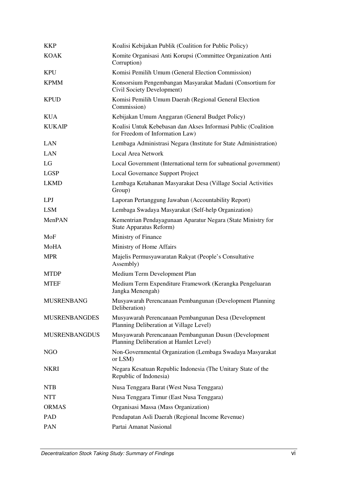| <b>KKP</b>           | Koalisi Kebijakan Publik (Coalition for Public Policy)                                           |
|----------------------|--------------------------------------------------------------------------------------------------|
| <b>KOAK</b>          | Komite Organisasi Anti Korupsi (Committee Organization Anti<br>Corruption)                       |
| <b>KPU</b>           | Komisi Pemilih Umum (General Election Commission)                                                |
| <b>KPMM</b>          | Konsorsium Pengembangan Masyarakat Madani (Consortium for<br>Civil Society Development)          |
| <b>KPUD</b>          | Komisi Pemilih Umum Daerah (Regional General Election<br>Commission)                             |
| <b>KUA</b>           | Kebijakan Umum Anggaran (General Budget Policy)                                                  |
| <b>KUKAIP</b>        | Koalisi Untuk Kebebasan dan Akses Informasi Public (Coalition<br>for Freedom of Information Law) |
| LAN                  | Lembaga Administrasi Negara (Institute for State Administration)                                 |
| <b>LAN</b>           | <b>Local Area Network</b>                                                                        |
| LG                   | Local Government (International term for subnational government)                                 |
| <b>LGSP</b>          | Local Governance Support Project                                                                 |
| <b>LKMD</b>          | Lembaga Ketahanan Masyarakat Desa (Village Social Activities<br>Group)                           |
| LPJ                  | Laporan Pertanggung Jawaban (Accountability Report)                                              |
| <b>LSM</b>           | Lembaga Swadaya Masyarakat (Self-help Organization)                                              |
| MenPAN               | Kementrian Pendayagunaan Aparatur Negara (State Ministry for<br><b>State Apparatus Reform)</b>   |
| MoF                  | Ministry of Finance                                                                              |
| MoHA                 | Ministry of Home Affairs                                                                         |
| <b>MPR</b>           | Majelis Permusyawaratan Rakyat (People's Consultative<br>Assembly)                               |
| <b>MTDP</b>          | Medium Term Development Plan                                                                     |
| <b>MTEF</b>          | Medium Term Expenditure Framework (Kerangka Pengeluaran<br>Jangka Menengah)                      |
| <b>MUSRENBANG</b>    | Musyawarah Perencanaan Pembangunan (Development Planning<br>Deliberation)                        |
| <b>MUSRENBANGDES</b> | Musyawarah Perencanaan Pembangunan Desa (Development<br>Planning Deliberation at Village Level)  |
| <b>MUSRENBANGDUS</b> | Musyawarah Perencanaan Pembangunan Dusun (Development<br>Planning Deliberation at Hamlet Level)  |
| NGO                  | Non-Governmental Organization (Lembaga Swadaya Masyarakat<br>or LSM)                             |
| <b>NKRI</b>          | Negara Kesatuan Republic Indonesia (The Unitary State of the<br>Republic of Indonesia)           |
| <b>NTB</b>           | Nusa Tenggara Barat (West Nusa Tenggara)                                                         |
| <b>NTT</b>           | Nusa Tenggara Timur (East Nusa Tenggara)                                                         |
| <b>ORMAS</b>         | Organisasi Massa (Mass Organization)                                                             |
| <b>PAD</b>           | Pendapatan Asli Daerah (Regional Income Revenue)                                                 |
| PAN                  | Partai Amanat Nasional                                                                           |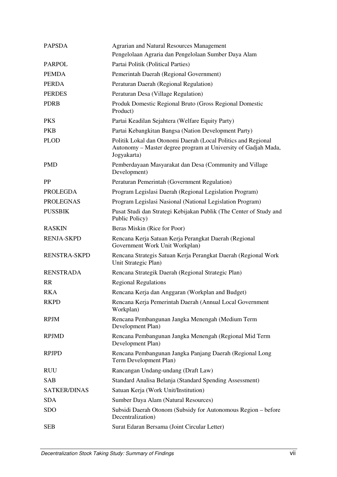| <b>PAPSDA</b>       | <b>Agrarian and Natural Resources Management</b><br>Pengelolaan Agraria dan Pengelolaan Sumber Daya Alam                                       |  |
|---------------------|------------------------------------------------------------------------------------------------------------------------------------------------|--|
| <b>PARPOL</b>       | Partai Politik (Political Parties)                                                                                                             |  |
| <b>PEMDA</b>        | Pemerintah Daerah (Regional Government)                                                                                                        |  |
| <b>PERDA</b>        | Peraturan Daerah (Regional Regulation)                                                                                                         |  |
| <b>PERDES</b>       | Peraturan Desa (Village Regulation)                                                                                                            |  |
| <b>PDRB</b>         | Produk Domestic Regional Bruto (Gross Regional Domestic<br>Product)                                                                            |  |
| <b>PKS</b>          | Partai Keadilan Sejahtera (Welfare Equity Party)                                                                                               |  |
| <b>PKB</b>          | Partai Kebangkitan Bangsa (Nation Development Party)                                                                                           |  |
| <b>PLOD</b>         | Politik Lokal dan Otonomi Daerah (Local Politics and Regional<br>Autonomy - Master degree program at University of Gadjah Mada,<br>Jogyakarta) |  |
| <b>PMD</b>          | Pemberdayaan Masyarakat dan Desa (Community and Village<br>Development)                                                                        |  |
| <b>PP</b>           | Peraturan Pemerintah (Government Regulation)                                                                                                   |  |
| <b>PROLEGDA</b>     | Program Legislasi Daerah (Regional Legislation Program)                                                                                        |  |
| <b>PROLEGNAS</b>    | Program Legislasi Nasional (National Legislation Program)                                                                                      |  |
| <b>PUSSBIK</b>      | Pusat Studi dan Strategi Kebijakan Publik (The Center of Study and<br>Public Policy)                                                           |  |
| <b>RASKIN</b>       | Beras Miskin (Rice for Poor)                                                                                                                   |  |
| <b>RENJA-SKPD</b>   | Rencana Kerja Satuan Kerja Perangkat Daerah (Regional<br>Government Work Unit Workplan)                                                        |  |
| <b>RENSTRA-SKPD</b> | Rencana Strategis Satuan Kerja Perangkat Daerah (Regional Work<br>Unit Strategic Plan)                                                         |  |
| <b>RENSTRADA</b>    | Rencana Strategik Daerah (Regional Strategic Plan)                                                                                             |  |
| <b>RR</b>           | <b>Regional Regulations</b>                                                                                                                    |  |
| <b>RKA</b>          | Rencana Kerja dan Anggaran (Workplan and Budget)                                                                                               |  |
| <b>RKPD</b>         | Rencana Kerja Pemerintah Daerah (Annual Local Government<br>Workplan)                                                                          |  |
| <b>RPJM</b>         | Rencana Pembangunan Jangka Menengah (Medium Term<br>Development Plan)                                                                          |  |
| <b>RPJMD</b>        | Rencana Pembangunan Jangka Menengah (Regional Mid Term<br>Development Plan)                                                                    |  |
| <b>RPJPD</b>        | Rencana Pembangunan Jangka Panjang Daerah (Regional Long<br>Term Development Plan)                                                             |  |
| <b>RUU</b>          | Rancangan Undang-undang (Draft Law)                                                                                                            |  |
| <b>SAB</b>          | Standard Analisa Belanja (Standard Spending Assessment)                                                                                        |  |
| <b>SATKER/DINAS</b> | Satuan Kerja (Work Unit/Institution)                                                                                                           |  |
| <b>SDA</b>          | Sumber Daya Alam (Natural Resources)                                                                                                           |  |
| <b>SDO</b>          | Subsidi Daerah Otonom (Subsidy for Autonomous Region – before<br>Decentralization)                                                             |  |
| <b>SEB</b>          | Surat Edaran Bersama (Joint Circular Letter)                                                                                                   |  |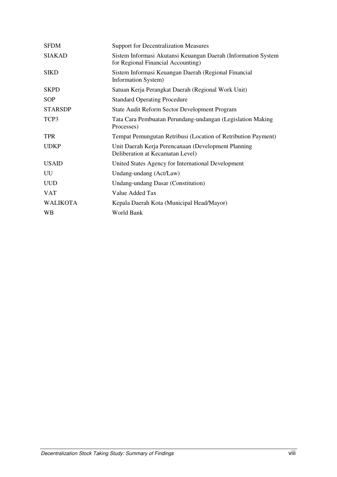| <b>SFDM</b>     | <b>Support for Decentralization Measures</b>                                                        |
|-----------------|-----------------------------------------------------------------------------------------------------|
| <b>SIAKAD</b>   | Sistem Informasi Akutansi Keuangan Daerah (Information System<br>for Regional Financial Accounting) |
| <b>SIKD</b>     | Sistem Informasi Keuangan Daerah (Regional Financial<br>Information System)                         |
| <b>SKPD</b>     | Satuan Kerja Perangkat Daerah (Regional Work Unit)                                                  |
| <b>SOP</b>      | <b>Standard Operating Procedure</b>                                                                 |
| <b>STARSDP</b>  | State Audit Reform Sector Development Program                                                       |
| TCP3            | Tata Cara Pembuatan Perundang-undangan (Legislation Making<br>Processes)                            |
| <b>TPR</b>      | Tempat Pemungutan Retribusi (Location of Retribution Payment)                                       |
| <b>UDKP</b>     | Unit Daerah Kerja Perencanaan (Development Planning<br>Deliberation at Kecamatan Level)             |
| <b>USAID</b>    | United States Agency for International Development                                                  |
| UU              | Undang-undang (Act/Law)                                                                             |
| <b>UUD</b>      | Undang-undang Dasar (Constitution)                                                                  |
| <b>VAT</b>      | Value Added Tax                                                                                     |
| <b>WALIKOTA</b> | Kepala Daerah Kota (Municipal Head/Mayor)                                                           |
| <b>WB</b>       | World Bank                                                                                          |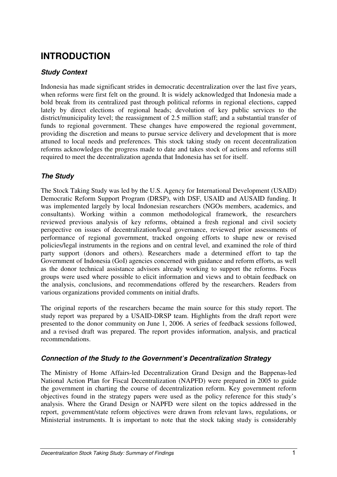# **INTRODUCTION**

#### **Study Context**

Indonesia has made significant strides in democratic decentralization over the last five years, when reforms were first felt on the ground. It is widely acknowledged that Indonesia made a bold break from its centralized past through political reforms in regional elections, capped lately by direct elections of regional heads; devolution of key public services to the district/municipality level; the reassignment of 2.5 million staff; and a substantial transfer of funds to regional government. These changes have empowered the regional government, providing the discretion and means to pursue service delivery and development that is more attuned to local needs and preferences. This stock taking study on recent decentralization reforms acknowledges the progress made to date and takes stock of actions and reforms still required to meet the decentralization agenda that Indonesia has set for itself.

#### **The Study**

The Stock Taking Study was led by the U.S. Agency for International Development (USAID) Democratic Reform Support Program (DRSP), with DSF, USAID and AUSAID funding. It was implemented largely by local Indonesian researchers (NGOs members, academics, and consultants). Working within a common methodological framework, the researchers reviewed previous analysis of key reforms, obtained a fresh regional and civil society perspective on issues of decentralization/local governance, reviewed prior assessments of performance of regional government, tracked ongoing efforts to shape new or revised policies/legal instruments in the regions and on central level, and examined the role of third party support (donors and others). Researchers made a determined effort to tap the Government of Indonesia (GoI) agencies concerned with guidance and reform efforts, as well as the donor technical assistance advisors already working to support the reforms. Focus groups were used where possible to elicit information and views and to obtain feedback on the analysis, conclusions, and recommendations offered by the researchers. Readers from various organizations provided comments on initial drafts.

The original reports of the researchers became the main source for this study report. The study report was prepared by a USAID-DRSP team. Highlights from the draft report were presented to the donor community on June 1, 2006. A series of feedback sessions followed, and a revised draft was prepared. The report provides information, analysis, and practical recommendations.

#### **Connection of the Study to the Government's Decentralization Strategy**

The Ministry of Home Affairs-led Decentralization Grand Design and the Bappenas-led National Action Plan for Fiscal Decentralization (NAPFD) were prepared in 2005 to guide the government in charting the course of decentralization reform. Key government reform objectives found in the strategy papers were used as the policy reference for this study's analysis. Where the Grand Design or NAPFD were silent on the topics addressed in the report, government/state reform objectives were drawn from relevant laws, regulations, or Ministerial instruments. It is important to note that the stock taking study is considerably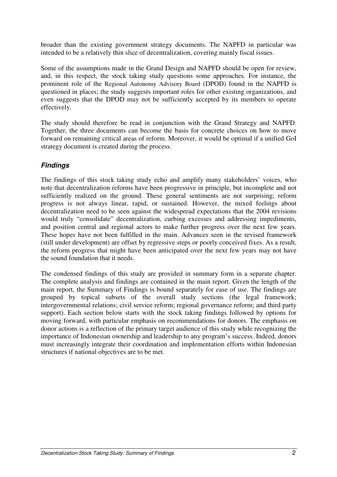broader than the existing government strategy documents. The NAPFD in particular was intended to be a relatively thin slice of decentralization, covering mainly fiscal issues.

Some of the assumptions made in the Grand Design and NAPFD should be open for review, and, in this respect, the stock taking study questions some approaches. For instance, the prominent role of the Regional Autonomy Advisory Board (DPOD) found in the NAPFD is questioned in places; the study suggests important roles for other existing organizations, and even suggests that the DPOD may not be sufficiently accepted by its members to operate effectively.

The study should therefore be read in conjunction with the Grand Strategy and NAPFD. Together, the three documents can become the basis for concrete choices on how to move forward on remaining critical areas of reform. Moreover, it would be optimal if a unified GoI strategy document is created during the process.

#### **Findings**

The findings of this stock taking study echo and amplify many stakeholders' voices, who note that decentralization reforms have been progressive in principle, but incomplete and not sufficiently realized on the ground. These general sentiments are not surprising; reform progress is not always linear, rapid, or sustained. However, the mixed feelings about decentralization need to be seen against the widespread expectations that the 2004 revisions would truly "consolidate" decentralization, curbing excesses and addressing impediments, and position central and regional actors to make further progress over the next few years. These hopes have not been fulfilled in the main. Advances seen in the revised framework (still under development) are offset by regressive steps or poorly conceived fixes. As a result, the reform progress that might have been anticipated over the next few years may not have the sound foundation that it needs.

The condensed findings of this study are provided in summary form in a separate chapter. The complete analysis and findings are contained in the main report. Given the length of the main report, the Summary of Findings is bound separately for ease of use. The findings are grouped by topical subsets of the overall study sections (the legal framework; intergovernmental relations; civil service reform; regional governance reform; and third party support). Each section below starts with the stock taking findings followed by options for moving forward, with particular emphasis on recommendations for donors. The emphasis on donor actions is a reflection of the primary target audience of this study while recognizing the importance of Indonesian ownership and leadership to any program's success. Indeed, donors must increasingly integrate their coordination and implementation efforts within Indonesian structures if national objectives are to be met.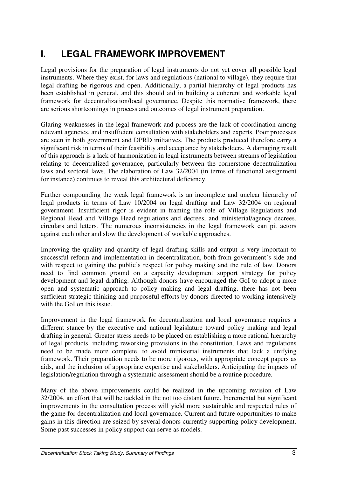# **I. LEGAL FRAMEWORK IMPROVEMENT**

Legal provisions for the preparation of legal instruments do not yet cover all possible legal instruments. Where they exist, for laws and regulations (national to village), they require that legal drafting be rigorous and open. Additionally, a partial hierarchy of legal products has been established in general, and this should aid in building a coherent and workable legal framework for decentralization/local governance. Despite this normative framework, there are serious shortcomings in process and outcomes of legal instrument preparation.

Glaring weaknesses in the legal framework and process are the lack of coordination among relevant agencies, and insufficient consultation with stakeholders and experts. Poor processes are seen in both government and DPRD initiatives. The products produced therefore carry a significant risk in terms of their feasibility and acceptance by stakeholders. A damaging result of this approach is a lack of harmonization in legal instruments between streams of legislation relating to decentralized governance, particularly between the cornerstone decentralization laws and sectoral laws. The elaboration of Law 32/2004 (in terms of functional assignment for instance) continues to reveal this architectural deficiency.

Further compounding the weak legal framework is an incomplete and unclear hierarchy of legal products in terms of Law 10/2004 on legal drafting and Law 32/2004 on regional government. Insufficient rigor is evident in framing the role of Village Regulations and Regional Head and Village Head regulations and decrees, and ministerial/agency decrees, circulars and letters*.* The numerous inconsistencies in the legal framework can pit actors against each other and slow the development of workable approaches.

Improving the quality and quantity of legal drafting skills and output is very important to successful reform and implementation in decentralization, both from government's side and with respect to gaining the public's respect for policy making and the rule of law. Donors need to find common ground on a capacity development support strategy for policy development and legal drafting. Although donors have encouraged the GoI to adopt a more open and systematic approach to policy making and legal drafting, there has not been sufficient strategic thinking and purposeful efforts by donors directed to working intensively with the GoI on this issue.

Improvement in the legal framework for decentralization and local governance requires a different stance by the executive and national legislature toward policy making and legal drafting in general. Greater stress needs to be placed on establishing a more rational hierarchy of legal products, including reworking provisions in the constitution. Laws and regulations need to be made more complete, to avoid ministerial instruments that lack a unifying framework. Their preparation needs to be more rigorous, with appropriate concept papers as aids, and the inclusion of appropriate expertise and stakeholders. Anticipating the impacts of legislation/regulation through a systematic assessment should be a routine procedure.

Many of the above improvements could be realized in the upcoming revision of Law 32/2004, an effort that will be tackled in the not too distant future. Incremental but significant improvements in the consultation process will yield more sustainable and respected rules of the game for decentralization and local governance. Current and future opportunities to make gains in this direction are seized by several donors currently supporting policy development. Some past successes in policy support can serve as models.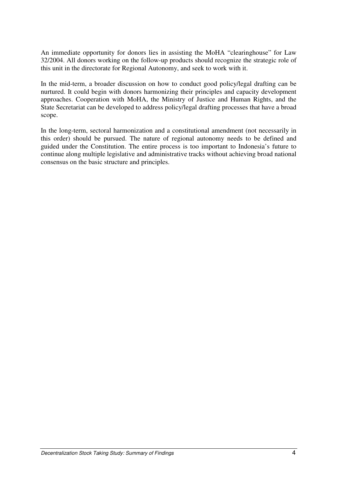An immediate opportunity for donors lies in assisting the MoHA "clearinghouse" for Law 32/2004. All donors working on the follow-up products should recognize the strategic role of this unit in the directorate for Regional Autonomy, and seek to work with it.

In the mid-term, a broader discussion on how to conduct good policy/legal drafting can be nurtured. It could begin with donors harmonizing their principles and capacity development approaches. Cooperation with MoHA, the Ministry of Justice and Human Rights, and the State Secretariat can be developed to address policy/legal drafting processes that have a broad scope.

In the long-term, sectoral harmonization and a constitutional amendment (not necessarily in this order) should be pursued. The nature of regional autonomy needs to be defined and guided under the Constitution. The entire process is too important to Indonesia's future to continue along multiple legislative and administrative tracks without achieving broad national consensus on the basic structure and principles.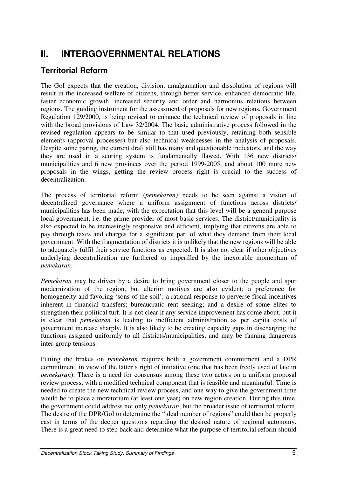# **II. INTERGOVERNMENTAL RELATIONS**

## **Territorial Reform**

The GoI expects that the creation, division, amalgamation and dissolution of regions will result in the increased welfare of citizens, through better service, enhanced democratic life, faster economic growth, increased security and order and harmonius relations between regions. The guiding instrument for the assessment of proposals for new regions, Government Regulation 129/2000, is being revised to enhance the technical review of proposals in line with the broad provisions of Law 32/2004. The basic administrative process followed in the revised regulation appears to be similar to that used previously, retaining both sensible elements (approval processes) but also technical weaknesses in the analysis of proposals. Despite some paring, the current draft still has many and questionable indicators, and the way they are used in a scoring system is fundamentally flawed. With 136 new districts/ municipalities and 6 new provinces over the period 1999-2005, and about 100 more new proposals in the wings, getting the review process right is crucial to the success of decentralization.

The process of territorial reform (*pemekaran)* needs to be seen against a vision of decentralized governance where a uniform assignment of functions across districts/ municipalities has been made, with the expectation that this level will be a general purpose local government, i.e. the prime provider of most basic services. The district/municipality is also expected to be increasingly responsive and efficient, implying that citizens are able to pay through taxes and charges for a significant part of what they demand from their local government. With the fragmentation of districts it is unlikely that the new regions will be able to adequately fulfil their service functions as expected. It is also not clear if other objectives underlying decentralization are furthered or imperilled by the inexorable momentum of *pemekaran*.

*Pemekaran* may be driven by a desire to bring government closer to the people and spur modernization of the region, but ulterior motives are also evident; a preference for homogeneity and favoring 'sons of the soil'; a rational response to perverse fiscal incentives inherent in financial transfers; bureaucratic rent seeking; and a desire of some elites to strengthen their political turf. It is not clear if any service improvement has come about, but it is clear that *pemekaran* is leading to inefficient administration as per capita costs of government increase sharply. It is also likely to be creating capacity gaps in discharging the functions assigned uniformly to all districts/municipalities, and may be fanning dangerous inter-group tensions.

Putting the brakes on *pemekaran* requires both a government commitment and a DPR commitment, in view of the latter's right of initiative (one that has been freely used of late in *pemekaran*). There is a need for consensus among these two actors on a uniform proposal review process, with a modified technical component that is feasible and meaningful. Time is needed to create the new technical review process, and one way to give the government time would be to place a moratorium (at least one year) on new region creation. During this time, the government could address not only *pemekaran*, but the broader issue of territorial reform. The desire of the DPR/GoI to determine the "ideal number of regions" could then be properly cast in terms of the deeper questions regarding the desired nature of regional autonomy. There is a great need to step back and determine what the purpose of territorial reform should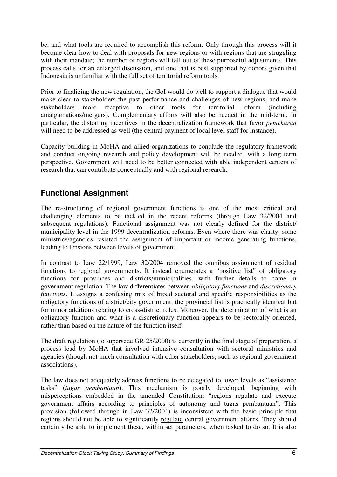be, and what tools are required to accomplish this reform. Only through this process will it become clear how to deal with proposals for new regions or with regions that are struggling with their mandate; the number of regions will fall out of these purposeful adjustments. This process calls for an enlarged discussion, and one that is best supported by donors given that Indonesia is unfamiliar with the full set of territorial reform tools.

Prior to finalizing the new regulation, the GoI would do well to support a dialogue that would make clear to stakeholders the past performance and challenges of new regions, and make stakeholders more receptive to other tools for territorial reform (including amalgamations/mergers). Complementary efforts will also be needed in the mid-term. In particular, the distorting incentives in the decentralization framework that favor *pemekaran* will need to be addressed as well (the central payment of local level staff for instance).

Capacity building in MoHA and allied organizations to conclude the regulatory framework and conduct ongoing research and policy development will be needed, with a long term perspective. Government will need to be better connected with able independent centers of research that can contribute conceptually and with regional research.

## **Functional Assignment**

The re-structuring of regional government functions is one of the most critical and challenging elements to be tackled in the recent reforms (through Law 32/2004 and subsequent regulations). Functional assignment was not clearly defined for the district/ municipality level in the 1999 decentralization reforms. Even where there was clarity, some ministries/agencies resisted the assignment of important or income generating functions, leading to tensions between levels of government.

In contrast to Law 22/1999, Law 32/2004 removed the omnibus assignment of residual functions to regional governments. It instead enumerates a "positive list" of obligatory functions for provinces and districts/municipalities, with further details to come in government regulation. The law differentiates between *obligatory functions* and *discretionary functions*. It assigns a confusing mix of broad sectoral and specific responsibilities as the obligatory functions of district/city government; the provincial list is practically identical but for minor additions relating to cross-district roles. Moreover, the determination of what is an obligatory function and what is a discretionary function appears to be sectorally oriented, rather than based on the nature of the function itself.

The draft regulation (to supersede GR 25/2000) is currently in the final stage of preparation, a process lead by MoHA that involved intensive consultation with sectoral ministries and agencies (though not much consultation with other stakeholders, such as regional government associations).

The law does not adequately address functions to be delegated to lower levels as "assistance tasks" (*tugas pembantuan*). This mechanism is poorly developed, beginning with misperceptions embedded in the amended Constitution: "regions regulate and execute government affairs according to principles of autonomy and tugas pembantuan". This provision (followed through in Law 32/2004) is inconsistent with the basic principle that regions should not be able to significantly regulate central government affairs. They should certainly be able to implement these, within set parameters, when tasked to do so. It is also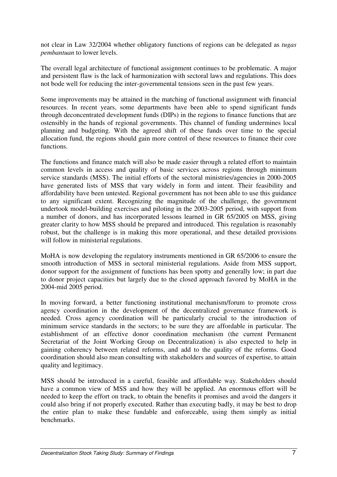not clear in Law 32/2004 whether obligatory functions of regions can be delegated as *tugas pembantuan* to lower levels.

The overall legal architecture of functional assignment continues to be problematic. A major and persistent flaw is the lack of harmonization with sectoral laws and regulations. This does not bode well for reducing the inter-governmental tensions seen in the past few years.

Some improvements may be attained in the matching of functional assignment with financial resources. In recent years, some departments have been able to spend significant funds through deconcentrated development funds (DIPs) in the regions to finance functions that are ostensibly in the hands of regional governments. This channel of funding undermines local planning and budgeting. With the agreed shift of these funds over time to the special allocation fund, the regions should gain more control of these resources to finance their core functions.

The functions and finance match will also be made easier through a related effort to maintain common levels in access and quality of basic services across regions through minimum service standards (MSS). The initial efforts of the sectoral ministries/agencies in 2000-2005 have generated lists of MSS that vary widely in form and intent. Their feasibility and affordability have been untested. Regional government has not been able to use this guidance to any significant extent. Recognizing the magnitude of the challenge, the government undertook model-building exercises and piloting in the 2003-2005 period, with support from a number of donors, and has incorporated lessons learned in GR 65/2005 on MSS, giving greater clarity to how MSS should be prepared and introduced. This regulation is reasonably robust, but the challenge is in making this more operational, and these detailed provisions will follow in ministerial regulations.

MoHA is now developing the regulatory instruments mentioned in GR 65/2006 to ensure the smooth introduction of MSS in sectoral ministerial regulations. Aside from MSS support, donor support for the assignment of functions has been spotty and generally low; in part due to donor project capacities but largely due to the closed approach favored by MoHA in the 2004-mid 2005 period.

In moving forward, a better functioning institutional mechanism/forum to promote cross agency coordination in the development of the decentralized governance framework is needed. Cross agency coordination will be particularly crucial to the introduction of minimum service standards in the sectors; to be sure they are affordable in particular. The establishment of an effective donor coordination mechanism (the current Permanent Secretariat of the Joint Working Group on Decentralization) is also expected to help in gaining coherency between related reforms, and add to the quality of the reforms. Good coordination should also mean consulting with stakeholders and sources of expertise, to attain quality and legitimacy.

MSS should be introduced in a careful, feasible and affordable way. Stakeholders should have a common view of MSS and how they will be applied. An enormous effort will be needed to keep the effort on track, to obtain the benefits it promises and avoid the dangers it could also bring if not properly executed. Rather than executing badly, it may be best to drop the entire plan to make these fundable and enforceable, using them simply as initial benchmarks.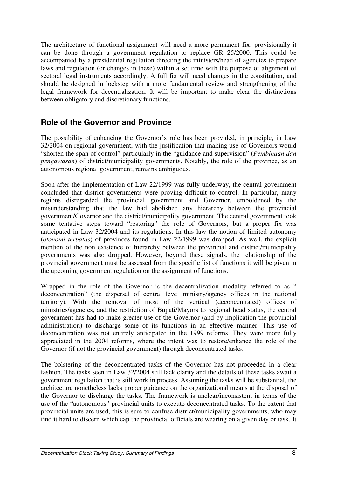The architecture of functional assignment will need a more permanent fix; provisionally it can be done through a government regulation to replace GR 25/2000. This could be accompanied by a presidential regulation directing the ministers/head of agencies to prepare laws and regulation (or changes in these) within a set time with the purpose of alignment of sectoral legal instruments accordingly. A full fix will need changes in the constitution, and should be designed in lockstep with a more fundamental review and strengthening of the legal framework for decentralization. It will be important to make clear the distinctions between obligatory and discretionary functions.

#### **Role of the Governor and Province**

The possibility of enhancing the Governor's role has been provided, in principle, in Law 32/2004 on regional government, with the justification that making use of Governors would "shorten the span of control" particularly in the "guidance and supervision" (*Pembinaan dan pengawasan*) of district/municipality governments. Notably, the role of the province, as an autonomous regional government, remains ambiguous.

Soon after the implementation of Law 22/1999 was fully underway, the central government concluded that district governments were proving difficult to control. In particular, many regions disregarded the provincial government and Governor, emboldened by the misunderstanding that the law had abolished any hierarchy between the provincial government/Governor and the district/municipality government. The central government took some tentative steps toward "restoring" the role of Governors, but a proper fix was anticipated in Law 32/2004 and its regulations. In this law the notion of limited autonomy (*otonomi terbatas*) of provinces found in Law 22/1999 was dropped. As well, the explicit mention of the non existence of hierarchy between the provincial and district/municipality governments was also dropped. However, beyond these signals, the relationship of the provincial government must be assessed from the specific list of functions it will be given in the upcoming government regulation on the assignment of functions.

Wrapped in the role of the Governor is the decentralization modality referred to as " deconcentration" (the dispersal of central level ministry/agency offices in the national territory). With the removal of most of the vertical (deconcentrated) offices of ministries/agencies, and the restriction of Bupati/Mayors to regional head status, the central government has had to make greater use of the Governor (and by implication the provincial administration) to discharge some of its functions in an effective manner. This use of deconcentration was not entirely anticipated in the 1999 reforms. They were more fully appreciated in the 2004 reforms, where the intent was to restore/enhance the role of the Governor (if not the provincial government) through deconcentrated tasks.

The bolstering of the deconcentrated tasks of the Governor has not proceeded in a clear fashion. The tasks seen in Law 32/2004 still lack clarity and the details of these tasks await a government regulation that is still work in process. Assuming the tasks will be substantial, the architecture nonetheless lacks proper guidance on the organizational means at the disposal of the Governor to discharge the tasks. The framework is unclear/inconsistent in terms of the use of the "autonomous" provincial units to execute deconcentrated tasks. To the extent that provincial units are used, this is sure to confuse district/municipality governments, who may find it hard to discern which cap the provincial officials are wearing on a given day or task. It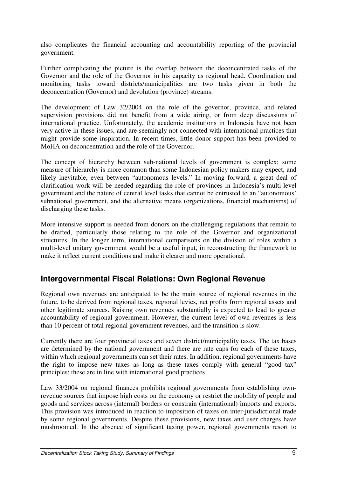also complicates the financial accounting and accountability reporting of the provincial government.

Further complicating the picture is the overlap between the deconcentrated tasks of the Governor and the role of the Governor in his capacity as regional head. Coordination and monitoring tasks toward districts/municipalities are two tasks given in both the deconcentration (Governor) and devolution (province) streams.

The development of Law 32/2004 on the role of the governor, province, and related supervision provisions did not benefit from a wide airing, or from deep discussions of international practice. Unfortunately, the academic institutions in Indonesia have not been very active in these issues, and are seemingly not connected with international practices that might provide some inspiration. In recent times, little donor support has been provided to MoHA on deconcentration and the role of the Governor.

The concept of hierarchy between sub-national levels of government is complex; some measure of hierarchy is more common than some Indonesian policy makers may expect, and likely inevitable, even between "autonomous levels." In moving forward, a great deal of clarification work will be needed regarding the role of provinces in Indonesia's multi-level government and the nature of central level tasks that cannot be entrusted to an "autonomous' subnational government, and the alternative means (organizations, financial mechanisms) of discharging these tasks.

More intensive support is needed from donors on the challenging regulations that remain to be drafted, particularly those relating to the role of the Governor and organizational structures. In the longer term, international comparisons on the division of roles within a multi-level unitary government would be a useful input, in reconstructing the framework to make it reflect current conditions and make it clearer and more operational.

#### **Intergovernmental Fiscal Relations: Own Regional Revenue**

Regional own revenues are anticipated to be the main source of regional revenues in the future, to be derived from regional taxes, regional levies, net profits from regional assets and other legitimate sources. Raising own revenues substantially is expected to lead to greater accountability of regional government. However, the current level of own revenues is less than 10 percent of total regional government revenues, and the transition is slow.

Currently there are four provincial taxes and seven district/municipality taxes. The tax bases are determined by the national government and there are rate caps for each of these taxes, within which regional governments can set their rates. In addition, regional governments have the right to impose new taxes as long as these taxes comply with general "good tax" principles; these are in line with international good practices.

Law 33/2004 on regional finances prohibits regional governments from establishing ownrevenue sources that impose high costs on the economy or restrict the mobility of people and goods and services across (internal) borders or constrain (international) imports and exports. This provision was introduced in reaction to imposition of taxes on inter-jurisdictional trade by some regional governments. Despite these provisions, new taxes and user charges have mushroomed. In the absence of significant taxing power, regional governments resort to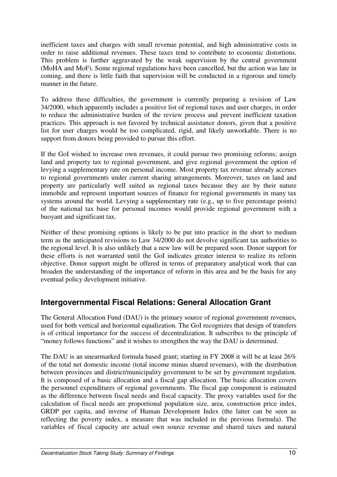inefficient taxes and charges with small revenue potential, and high administrative costs in order to raise additional revenues. These taxes tend to contribute to economic distortions. This problem is further aggravated by the weak supervision by the central government (MoHA and MoF). Some regional regulations have been cancelled, but the action was late in coming, and there is little faith that supervision will be conducted in a rigorous and timely manner in the future.

To address these difficulties, the government is currently preparing a revision of Law 34/2000, which apparently includes a positive list of regional taxes and user charges, in order to reduce the administrative burden of the review process and prevent inefficient taxation practices. This approach is not favored by technical assistance donors, given that a positive list for user charges would be too complicated, rigid, and likely unworkable. There is no support from donors being provided to pursue this effort.

If the GoI wished to increase own revenues, it could pursue two promising reforms; assign land and property tax to regional government, and give regional government the option of levying a supplementary rate on personal income. Most property tax revenue already accrues to regional governments under current sharing arrangements. Moreover, taxes on land and property are particularly well suited as regional taxes because they are by their nature immobile and represent important sources of finance for regional governments in many tax systems around the world. Levying a supplementary rate (e.g., up to five percentage points) of the national tax base for personal incomes would provide regional government with a buoyant and significant tax.

Neither of these promising options is likely to be put into practice in the short to medium term as the anticipated revisions to Law 34/2000 do not devolve significant tax authorities to the regional level. It is also unlikely that a new law will be prepared soon. Donor support for these efforts is not warranted until the GoI indicates greater interest to realize its reform objective. Donor support might be offered in terms of preparatory analytical work that can broaden the understanding of the importance of reform in this area and be the basis for any eventual policy development initiative.

## **Intergovernmental Fiscal Relations: General Allocation Grant**

The General Allocation Fund (DAU) is the primary source of regional government revenues, used for both vertical and horizontal equalization. The GoI recognizes that design of transfers is of critical importance for the success of decentralization. It subscribes to the principle of "money follows functions" and it wishes to strengthen the way the DAU is determined.

The DAU is an unearmarked formula based grant; starting in FY 2008 it will be at least 26% of the total net domestic income (total income minus shared revenues), with the distribution between provinces and district/municipality government to be set by government regulation. It is composed of a basic allocation and a fiscal gap allocation. The basic allocation covers the personnel expenditures of regional governments. The fiscal gap component is estimated as the difference between fiscal needs and fiscal capacity. The proxy variables used for the calculation of fiscal needs are proportional population size, area, construction price index, GRDP per capita, and inverse of Human Development Index (the latter can be seen as reflecting the poverty index, a measure that was included in the previous formula). The variables of fiscal capacity are actual own source revenue and shared taxes and natural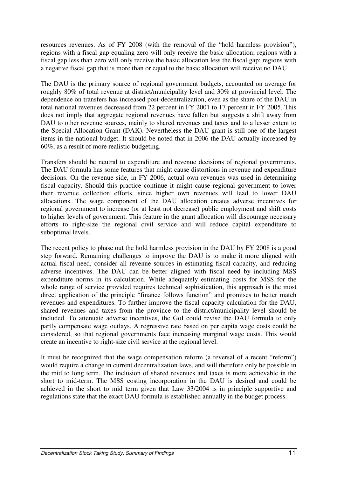resources revenues. As of FY 2008 (with the removal of the "hold harmless provision"), regions with a fiscal gap equaling zero will only receive the basic allocation; regions with a fiscal gap less than zero will only receive the basic allocation less the fiscal gap; regions with a negative fiscal gap that is more than or equal to the basic allocation will receive no DAU.

The DAU is the primary source of regional government budgets, accounted on average for roughly 80% of total revenue at district/municipality level and 30% at provincial level. The dependence on transfers has increased post-decentralization, even as the share of the DAU in total national revenues decreased from 22 percent in FY 2001 to 17 percent in FY 2005. This does not imply that aggregate regional revenues have fallen but suggests a shift away from DAU to other revenue sources, mainly to shared revenues and taxes and to a lesser extent to the Special Allocation Grant (DAK). Nevertheless the DAU grant is still one of the largest items in the national budget. It should be noted that in 2006 the DAU actually increased by 60%, as a result of more realistic budgeting.

Transfers should be neutral to expenditure and revenue decisions of regional governments. The DAU formula has some features that might cause distortions in revenue and expenditure decisions. On the revenue side, in FY 2006, actual own revenues was used in determining fiscal capacity. Should this practice continue it might cause regional government to lower their revenue collection efforts, since higher own revenues will lead to lower DAU allocations. The wage component of the DAU allocation creates adverse incentives for regional government to increase (or at least not decrease) public employment and shift costs to higher levels of government. This feature in the grant allocation will discourage necessary efforts to right-size the regional civil service and will reduce capital expenditure to suboptimal levels.

The recent policy to phase out the hold harmless provision in the DAU by FY 2008 is a good step forward. Remaining challenges to improve the DAU is to make it more aligned with actual fiscal need, consider all revenue sources in estimating fiscal capacity, and reducing adverse incentives. The DAU can be better aligned with fiscal need by including MSS expenditure norms in its calculation. While adequately estimating costs for MSS for the whole range of service provided requires technical sophistication, this approach is the most direct application of the principle "finance follows function" and promises to better match revenues and expenditures. To further improve the fiscal capacity calculation for the DAU, shared revenues and taxes from the province to the district/municipality level should be included. To attenuate adverse incentives, the GoI could revise the DAU formula to only partly compensate wage outlays. A regressive rate based on per capita wage costs could be considered, so that regional governments face increasing marginal wage costs. This would create an incentive to right-size civil service at the regional level.

It must be recognized that the wage compensation reform (a reversal of a recent "reform") would require a change in current decentralization laws, and will therefore only be possible in the mid to long term. The inclusion of shared revenues and taxes is more achievable in the short to mid-term. The MSS costing incorporation in the DAU is desired and could be achieved in the short to mid term given that Law 33/2004 is in principle supportive and regulations state that the exact DAU formula is established annually in the budget process.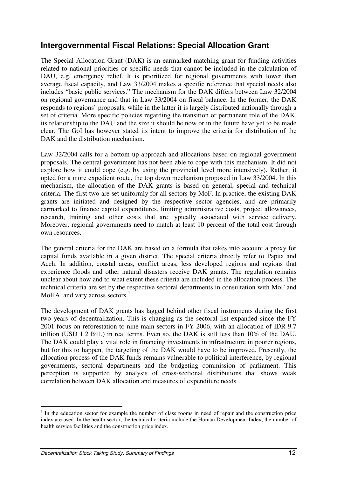#### **Intergovernmental Fiscal Relations: Special Allocation Grant**

The Special Allocation Grant (DAK) is an earmarked matching grant for funding activities related to national priorities or specific needs that cannot be included in the calculation of DAU, e.g. emergency relief. It is prioritized for regional governments with lower than average fiscal capacity, and Law 33/2004 makes a specific reference that special needs also includes "basic public services." The mechanism for the DAK differs between Law 32/2004 on regional governance and that in Law 33/2004 on fiscal balance. In the former, the DAK responds to regions' proposals, while in the latter it is largely distributed nationally through a set of criteria. More specific policies regarding the transition or permanent role of the DAK, its relationship to the DAU and the size it should be now or in the future have yet to be made clear. The GoI has however stated its intent to improve the criteria for distribution of the DAK and the distribution mechanism.

Law 32/2004 calls for a bottom up approach and allocations based on regional government proposals. The central government has not been able to cope with this mechanism. It did not explore how it could cope (e.g. by using the provincial level more intensively). Rather, it opted for a more expedient route, the top down mechanism proposed in Law 33/2004. In this mechanism, the allocation of the DAK grants is based on general, special and technical criteria. The first two are set uniformly for all sectors by MoF. In practice, the existing DAK grants are initiated and designed by the respective sector agencies, and are primarily earmarked to finance capital expenditures, limiting administrative costs, project allowances, research, training and other costs that are typically associated with service delivery. Moreover, regional governments need to match at least 10 percent of the total cost through own resources.

The general criteria for the DAK are based on a formula that takes into account a proxy for capital funds available in a given district. The special criteria directly refer to Papua and Aceh. In addition, coastal areas, conflict areas, less developed regions and regions that experience floods and other natural disasters receive DAK grants. The regulation remains unclear about how and to what extent these criteria are included in the allocation process. The technical criteria are set by the respective sectoral departments in consultation with MoF and MoHA, and vary across sectors. $<sup>1</sup>$ </sup>

The development of DAK grants has lagged behind other fiscal instruments during the first two years of decentralization. This is changing as the sectoral list expanded since the FY 2001 focus on reforestation to nine main sectors in FY 2006, with an allocation of IDR 9.7 trillion (USD 1.2 Bill.) in real terms. Even so, the DAK is still less than 10% of the DAU. The DAK could play a vital role in financing investments in infrastructure in poorer regions, but for this to happen, the targeting of the DAK would have to be improved. Presently, the allocation process of the DAK funds remains vulnerable to political interference, by regional governments, sectoral departments and the budgeting commission of parliament. This perception is supported by analysis of cross-sectional distributions that shows weak correlation between DAK allocation and measures of expenditure needs.

 $\overline{a}$ 

<sup>&</sup>lt;sup>1</sup> In the education sector for example the number of class rooms in need of repair and the construction price index are used. In the health sector, the technical criteria include the Human Development Index, the number of health service facilities and the construction price index.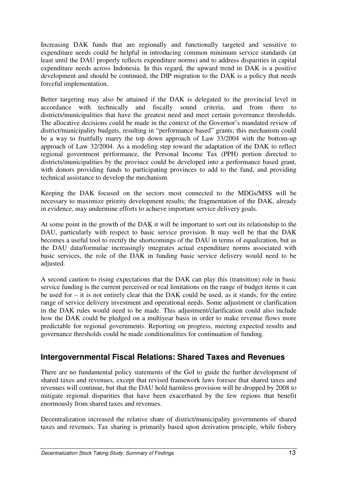Increasing DAK funds that are regionally and functionally targeted and sensitive to expenditure needs could be helpful in introducing common minimum service standards (at least until the DAU properly reflects expenditure norms) and to address disparities in capital expenditure needs across Indonesia. In this regard, the upward trend in DAK is a positive development and should be continued; the DIP migration to the DAK is a policy that needs forceful implementation.

Better targeting may also be attained if the DAK is delegated to the provincial level in accordance with technically and fiscally sound criteria, and from there to districts/municipalities that have the greatest need and meet certain governance thresholds. The allocative decisions could be made in the context of the Governor's mandated review of district/municipality budgets, resulting in "performance based" grants; this mechanism could be a way to fruitfully marry the top down approach of Law 33/2004 with the bottom-up approach of Law 32/2004. As a modeling step toward the adaptation of the DAK to reflect regional government performance, the Personal Income Tax (PPH) portion directed to districts/municipalities by the province could be developed into a performance based grant, with donors providing funds to participating provinces to add to the fund, and providing technical assistance to develop the mechanism.

Keeping the DAK focused on the sectors most connected to the MDGs/MSS will be necessary to maximize priority development results; the fragmentation of the DAK, already in evidence, may undermine efforts to achieve important service delivery goals.

At some point in the growth of the DAK it will be important to sort out its relationship to the DAU, particularly with respect to basic service provision. It may well be that the DAK becomes a useful tool to rectify the shortcomings of the DAU in terms of equalization, but as the DAU data/formulae increasingly integrates actual expenditure norms associated with basic services, the role of the DAK in funding basic service delivery would need to be adjusted.

A second caution to rising expectations that the DAK can play this (transition) role in basic service funding is the current perceived or real limitations on the range of budget items it can be used for – it is not entirely clear that the DAK could be used, as it stands, for the entire range of service delivery investment and operational needs. Some adjustment or clarification in the DAK rules would need to be made. This adjustment/clarification could also include how the DAK could be pledged on a multiyear basis in order to make revenue flows more predictable for regional governments. Reporting on progress, meeting expected results and governance thresholds could be made conditionalities for continuation of funding.

#### **Intergovernmental Fiscal Relations: Shared Taxes and Revenues**

There are no fundamental policy statements of the GoI to guide the further development of shared taxes and revenues, except that revised framework laws foresee that shared taxes and revenues will continue, but that the DAU hold harmless provision will be dropped by 2008 to mitigate regional disparities that have been exacerbated by the few regions that benefit enormously from shared taxes and revenues.

Decentralization increased the relative share of district/municipality governments of shared taxes and revenues. Tax sharing is primarily based upon derivation principle, while fishery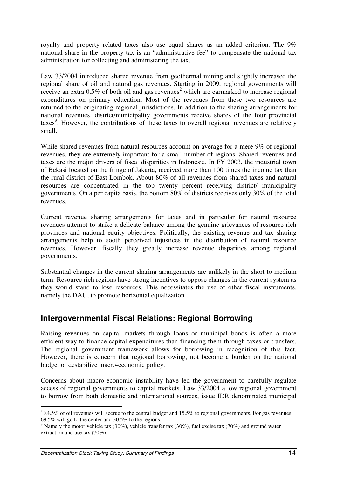royalty and property related taxes also use equal shares as an added criterion. The 9% national share in the property tax is an "administrative fee" to compensate the national tax administration for collecting and administering the tax.

Law 33/2004 introduced shared revenue from geothermal mining and slightly increased the regional share of oil and natural gas revenues. Starting in 2009, regional governments will receive an extra  $0.5\%$  of both oil and gas revenues<sup>2</sup> which are earmarked to increase regional expenditures on primary education. Most of the revenues from these two resources are returned to the originating regional jurisdictions. In addition to the sharing arrangements for national revenues, district/municipality governments receive shares of the four provincial  $\arccos^3$ . However, the contributions of these taxes to overall regional revenues are relatively small.

While shared revenues from natural resources account on average for a mere 9% of regional revenues, they are extremely important for a small number of regions. Shared revenues and taxes are the major drivers of fiscal disparities in Indonesia. In FY 2003, the industrial town of Bekasi located on the fringe of Jakarta, received more than 100 times the income tax than the rural district of East Lombok. About 80% of all revenues from shared taxes and natural resources are concentrated in the top twenty percent receiving district/ municipality governments. On a per capita basis, the bottom 80% of districts receives only 30% of the total revenues.

Current revenue sharing arrangements for taxes and in particular for natural resource revenues attempt to strike a delicate balance among the genuine grievances of resource rich provinces and national equity objectives. Politically, the existing revenue and tax sharing arrangements help to sooth perceived injustices in the distribution of natural resource revenues. However, fiscally they greatly increase revenue disparities among regional governments.

Substantial changes in the current sharing arrangements are unlikely in the short to medium term. Resource rich regions have strong incentives to oppose changes in the current system as they would stand to lose resources. This necessitates the use of other fiscal instruments, namely the DAU, to promote horizontal equalization.

#### **Intergovernmental Fiscal Relations: Regional Borrowing**

Raising revenues on capital markets through loans or municipal bonds is often a more efficient way to finance capital expenditures than financing them through taxes or transfers. The regional government framework allows for borrowing in recognition of this fact. However, there is concern that regional borrowing, not become a burden on the national budget or destabilize macro-economic policy.

Concerns about macro-economic instability have led the government to carefully regulate access of regional governments to capital markets. Law 33/2004 allow regional government to borrow from both domestic and international sources, issue IDR denominated municipal

<sup>&</sup>lt;sup>2</sup> 84.5% of oil revenues will accrue to the central budget and 15.5% to regional governments. For gas revenues, 69.5% will go to the center and 30.5% to the regions.

<sup>&</sup>lt;sup>3</sup> Namely the motor vehicle tax (30%), vehicle transfer tax (30%), fuel excise tax (70%) and ground water extraction and use tax (70%).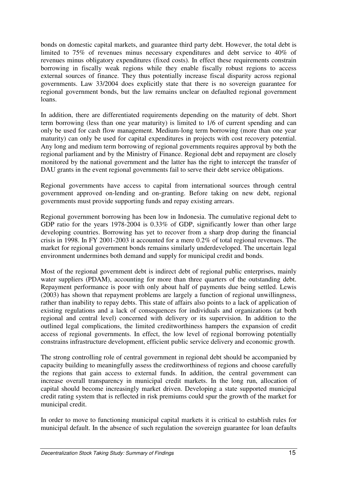bonds on domestic capital markets, and guarantee third party debt. However, the total debt is limited to 75% of revenues minus necessary expenditures and debt service to 40% of revenues minus obligatory expenditures (fixed costs). In effect these requirements constrain borrowing in fiscally weak regions while they enable fiscally robust regions to access external sources of finance. They thus potentially increase fiscal disparity across regional governments. Law 33/2004 does explicitly state that there is no sovereign guarantee for regional government bonds, but the law remains unclear on defaulted regional government loans.

In addition, there are differentiated requirements depending on the maturity of debt. Short term borrowing (less than one year maturity) is limited to 1/6 of current spending and can only be used for cash flow management. Medium-long term borrowing (more than one year maturity) can only be used for capital expenditures in projects with cost recovery potential. Any long and medium term borrowing of regional governments requires approval by both the regional parliament and by the Ministry of Finance. Regional debt and repayment are closely monitored by the national government and the latter has the right to intercept the transfer of DAU grants in the event regional governments fail to serve their debt service obligations.

Regional governments have access to capital from international sources through central government approved on-lending and on-granting. Before taking on new debt, regional governments must provide supporting funds and repay existing arrears.

Regional government borrowing has been low in Indonesia. The cumulative regional debt to GDP ratio for the years 1978-2004 is 0.33% of GDP, significantly lower than other large developing countries. Borrowing has yet to recover from a sharp drop during the financial crisis in 1998. In FY 2001-2003 it accounted for a mere 0.2% of total regional revenues. The market for regional government bonds remains similarly underdeveloped. The uncertain legal environment undermines both demand and supply for municipal credit and bonds.

Most of the regional government debt is indirect debt of regional public enterprises, mainly water suppliers (PDAM), accounting for more than three quarters of the outstanding debt. Repayment performance is poor with only about half of payments due being settled. Lewis (2003) has shown that repayment problems are largely a function of regional unwillingness, rather than inability to repay debts. This state of affairs also points to a lack of application of existing regulations and a lack of consequences for individuals and organizations (at both regional and central level) concerned with delivery or its supervision. In addition to the outlined legal complications, the limited creditworthiness hampers the expansion of credit access of regional governments. In effect, the low level of regional borrowing potentially constrains infrastructure development, efficient public service delivery and economic growth.

The strong controlling role of central government in regional debt should be accompanied by capacity building to meaningfully assess the creditworthiness of regions and choose carefully the regions that gain access to external funds. In addition, the central government can increase overall transparency in municipal credit markets. In the long run, allocation of capital should become increasingly market driven. Developing a state supported municipal credit rating system that is reflected in risk premiums could spur the growth of the market for municipal credit.

In order to move to functioning municipal capital markets it is critical to establish rules for municipal default. In the absence of such regulation the sovereign guarantee for loan defaults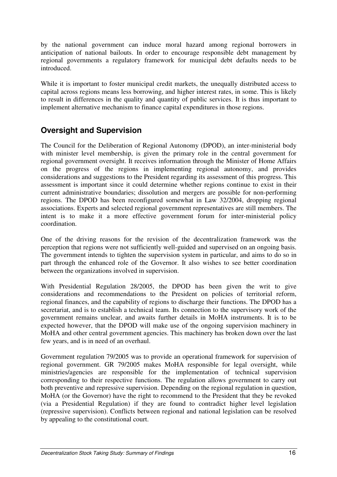by the national government can induce moral hazard among regional borrowers in anticipation of national bailouts. In order to encourage responsible debt management by regional governments a regulatory framework for municipal debt defaults needs to be introduced.

While it is important to foster municipal credit markets, the unequally distributed access to capital across regions means less borrowing, and higher interest rates, in some. This is likely to result in differences in the quality and quantity of public services. It is thus important to implement alternative mechanism to finance capital expenditures in those regions.

## **Oversight and Supervision**

The Council for the Deliberation of Regional Autonomy (DPOD), an inter-ministerial body with minister level membership, is given the primary role in the central government for regional government oversight. It receives information through the Minister of Home Affairs on the progress of the regions in implementing regional autonomy, and provides considerations and suggestions to the President regarding its assessment of this progress. This assessment is important since it could determine whether regions continue to exist in their current administrative boundaries; dissolution and mergers are possible for non-performing regions. The DPOD has been reconfigured somewhat in Law 32/2004, dropping regional associations. Experts and selected regional government representatives are still members. The intent is to make it a more effective government forum for inter-ministerial policy coordination.

One of the driving reasons for the revision of the decentralization framework was the perception that regions were not sufficiently well-guided and supervised on an ongoing basis. The government intends to tighten the supervision system in particular, and aims to do so in part through the enhanced role of the Governor. It also wishes to see better coordination between the organizations involved in supervision.

With Presidential Regulation 28/2005, the DPOD has been given the writ to give considerations and recommendations to the President on policies of territorial reform, regional finances, and the capability of regions to discharge their functions. The DPOD has a secretariat, and is to establish a technical team. Its connection to the supervisory work of the government remains unclear, and awaits further details in MoHA instruments. It is to be expected however, that the DPOD will make use of the ongoing supervision machinery in MoHA and other central government agencies. This machinery has broken down over the last few years, and is in need of an overhaul.

Government regulation 79/2005 was to provide an operational framework for supervision of regional government. GR 79/2005 makes MoHA responsible for legal oversight, while ministries/agencies are responsible for the implementation of technical supervision corresponding to their respective functions. The regulation allows government to carry out both preventive and repressive supervision. Depending on the regional regulation in question, MoHA (or the Governor) have the right to recommend to the President that they be revoked (via a Presidential Regulation) if they are found to contradict higher level legislation (repressive supervision). Conflicts between regional and national legislation can be resolved by appealing to the constitutional court.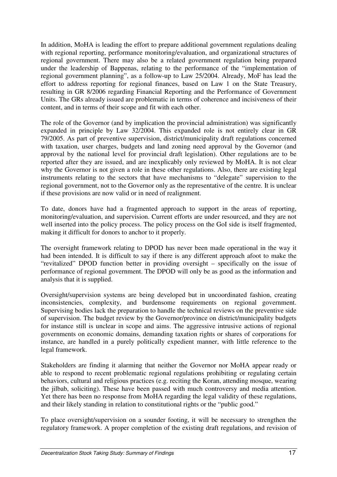In addition, MoHA is leading the effort to prepare additional government regulations dealing with regional reporting, performance monitoring/evaluation, and organizational structures of regional government. There may also be a related government regulation being prepared under the leadership of Bappenas, relating to the performance of the "implementation of regional government planning", as a follow-up to Law 25/2004. Already, MoF has lead the effort to address reporting for regional finances, based on Law 1 on the State Treasury, resulting in GR 8/2006 regarding Financial Reporting and the Performance of Government Units. The GRs already issued are problematic in terms of coherence and incisiveness of their content, and in terms of their scope and fit with each other.

The role of the Governor (and by implication the provincial administration) was significantly expanded in principle by Law 32/2004. This expanded role is not entirely clear in GR 79/2005. As part of preventive supervision, district/municipality draft regulations concerned with taxation, user charges, budgets and land zoning need approval by the Governor (and approval by the national level for provincial draft legislation). Other regulations are to be reported after they are issued, and are inexplicably only reviewed by MoHA. It is not clear why the Governor is not given a role in these other regulations. Also, there are existing legal instruments relating to the sectors that have mechanisms to "delegate" supervision to the regional government, not to the Governor only as the representative of the centre. It is unclear if these provisions are now valid or in need of realignment.

To date, donors have had a fragmented approach to support in the areas of reporting, monitoring/evaluation, and supervision. Current efforts are under resourced, and they are not well inserted into the policy process. The policy process on the GoI side is itself fragmented, making it difficult for donors to anchor to it properly.

The oversight framework relating to DPOD has never been made operational in the way it had been intended. It is difficult to say if there is any different approach afoot to make the "revitalized" DPOD function better in providing oversight – specifically on the issue of performance of regional government. The DPOD will only be as good as the information and analysis that it is supplied.

Oversight/supervision systems are being developed but in uncoordinated fashion, creating inconsistencies, complexity, and burdensome requirements on regional government. Supervising bodies lack the preparation to handle the technical reviews on the preventive side of supervision. The budget review by the Governor/province on district/municipality budgets for instance still is unclear in scope and aims. The aggressive intrusive actions of regional governments on economic domains, demanding taxation rights or shares of corporations for instance, are handled in a purely politically expedient manner, with little reference to the legal framework.

Stakeholders are finding it alarming that neither the Governor nor MoHA appear ready or able to respond to recent problematic regional regulations prohibiting or regulating certain behaviors, cultural and religious practices (e.g. reciting the Koran, attending mosque, wearing the jilbab, soliciting). These have been passed with much controversy and media attention. Yet there has been no response from MoHA regarding the legal validity of these regulations, and their likely standing in relation to constitutional rights or the "public good."

To place oversight/supervision on a sounder footing, it will be necessary to strengthen the regulatory framework. A proper completion of the existing draft regulations, and revision of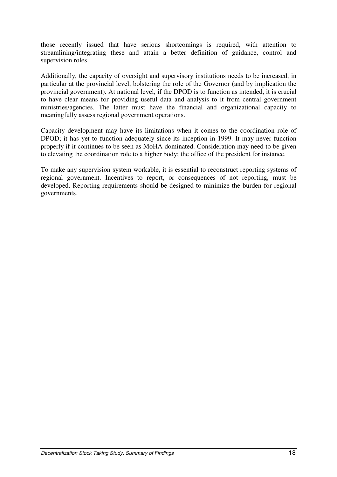those recently issued that have serious shortcomings is required, with attention to streamlining/integrating these and attain a better definition of guidance, control and supervision roles.

Additionally, the capacity of oversight and supervisory institutions needs to be increased, in particular at the provincial level, bolstering the role of the Governor (and by implication the provincial government). At national level, if the DPOD is to function as intended, it is crucial to have clear means for providing useful data and analysis to it from central government ministries/agencies. The latter must have the financial and organizational capacity to meaningfully assess regional government operations.

Capacity development may have its limitations when it comes to the coordination role of DPOD; it has yet to function adequately since its inception in 1999. It may never function properly if it continues to be seen as MoHA dominated. Consideration may need to be given to elevating the coordination role to a higher body; the office of the president for instance.

To make any supervision system workable, it is essential to reconstruct reporting systems of regional government. Incentives to report, or consequences of not reporting, must be developed. Reporting requirements should be designed to minimize the burden for regional governments.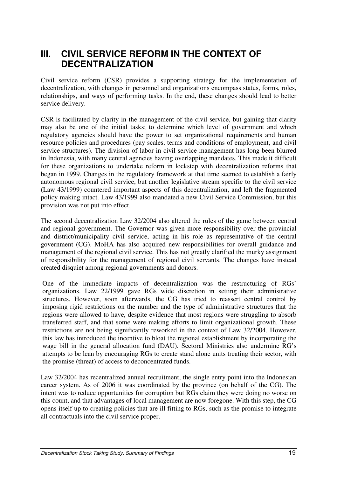# **III. CIVIL SERVICE REFORM IN THE CONTEXT OF DECENTRALIZATION**

Civil service reform (CSR) provides a supporting strategy for the implementation of decentralization, with changes in personnel and organizations encompass status, forms, roles, relationships, and ways of performing tasks. In the end, these changes should lead to better service delivery.

CSR is facilitated by clarity in the management of the civil service, but gaining that clarity may also be one of the initial tasks; to determine which level of government and which regulatory agencies should have the power to set organizational requirements and human resource policies and procedures (pay scales, terms and conditions of employment, and civil service structures). The division of labor in civil service management has long been blurred in Indonesia, with many central agencies having overlapping mandates. This made it difficult for these organizations to undertake reform in lockstep with decentralization reforms that began in 1999. Changes in the regulatory framework at that time seemed to establish a fairly autonomous regional civil service, but another legislative stream specific to the civil service (Law 43/1999) countered important aspects of this decentralization, and left the fragmented policy making intact. Law 43/1999 also mandated a new Civil Service Commission, but this provision was not put into effect.

The second decentralization Law 32/2004 also altered the rules of the game between central and regional government. The Governor was given more responsibility over the provincial and district/municipality civil service, acting in his role as representative of the central government (CG). MoHA has also acquired new responsibilities for overall guidance and management of the regional civil service. This has not greatly clarified the murky assignment of responsibility for the management of regional civil servants. The changes have instead created disquiet among regional governments and donors.

One of the immediate impacts of decentralization was the restructuring of RGs' organizations. Law 22/1999 gave RGs wide discretion in setting their administrative structures. However, soon afterwards, the CG has tried to reassert central control by imposing rigid restrictions on the number and the type of administrative structures that the regions were allowed to have, despite evidence that most regions were struggling to absorb transferred staff, and that some were making efforts to limit organizational growth. These restrictions are not being significantly reworked in the context of Law 32/2004. However, this law has introduced the incentive to bloat the regional establishment by incorporating the wage bill in the general allocation fund (DAU). Sectoral Ministries also undermine RG's attempts to be lean by encouraging RGs to create stand alone units treating their sector, with the promise (threat) of access to deconcentrated funds.

Law 32/2004 has recentralized annual recruitment, the single entry point into the Indonesian career system. As of 2006 it was coordinated by the province (on behalf of the CG). The intent was to reduce opportunities for corruption but RGs claim they were doing no worse on this count, and that advantages of local management are now foregone. With this step, the CG opens itself up to creating policies that are ill fitting to RGs, such as the promise to integrate all contractuals into the civil service proper.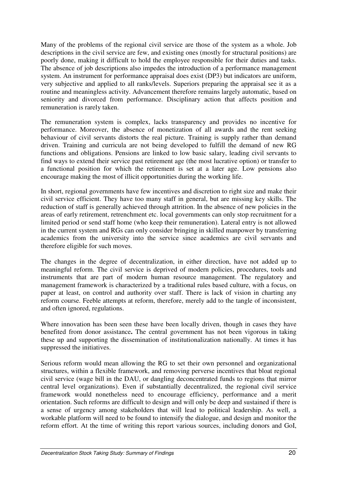Many of the problems of the regional civil service are those of the system as a whole. Job descriptions in the civil service are few, and existing ones (mostly for structural positions) are poorly done, making it difficult to hold the employee responsible for their duties and tasks. The absence of job descriptions also impedes the introduction of a performance management system. An instrument for performance appraisal does exist (DP3) but indicators are uniform, very subjective and applied to all ranks/levels. Superiors preparing the appraisal see it as a routine and meaningless activity. Advancement therefore remains largely automatic, based on seniority and divorced from performance. Disciplinary action that affects position and remuneration is rarely taken.

The remuneration system is complex, lacks transparency and provides no incentive for performance. Moreover, the absence of monetization of all awards and the rent seeking behaviour of civil servants distorts the real picture. Training is supply rather than demand driven. Training and curricula are not being developed to fulfill the demand of new RG functions and obligations. Pensions are linked to low basic salary, leading civil servants to find ways to extend their service past retirement age (the most lucrative option) or transfer to a functional position for which the retirement is set at a later age. Low pensions also encourage making the most of illicit opportunities during the working life.

In short, regional governments have few incentives and discretion to right size and make their civil service efficient. They have too many staff in general, but are missing key skills. The reduction of staff is generally achieved through attrition. In the absence of new policies in the areas of early retirement, retrenchment etc. local governments can only stop recruitment for a limited period or send staff home (who keep their remuneration). Lateral entry is not allowed in the current system and RGs can only consider bringing in skilled manpower by transferring academics from the university into the service since academics are civil servants and therefore eligible for such moves.

The changes in the degree of decentralization, in either direction, have not added up to meaningful reform. The civil service is deprived of modern policies, procedures, tools and instruments that are part of modern human resource management. The regulatory and management framework is characterized by a traditional rules based culture, with a focus, on paper at least, on control and authority over staff. There is lack of vision in charting any reform course. Feeble attempts at reform, therefore, merely add to the tangle of inconsistent, and often ignored, regulations.

Where innovation has been seen these have been locally driven, though in cases they have benefited from donor assistance**.** The central government has not been vigorous in taking these up and supporting the dissemination of institutionalization nationally. At times it has suppressed the initiatives.

Serious reform would mean allowing the RG to set their own personnel and organizational structures, within a flexible framework, and removing perverse incentives that bloat regional civil service (wage bill in the DAU, or dangling deconcentrated funds to regions that mirror central level organizations). Even if substantially decentralized, the regional civil service framework would nonetheless need to encourage efficiency, performance and a merit orientation. Such reforms are difficult to design and will only be deep and sustained if there is a sense of urgency among stakeholders that will lead to political leadership. As well, a workable platform will need to be found to intensify the dialogue, and design and monitor the reform effort. At the time of writing this report various sources, including donors and GoI,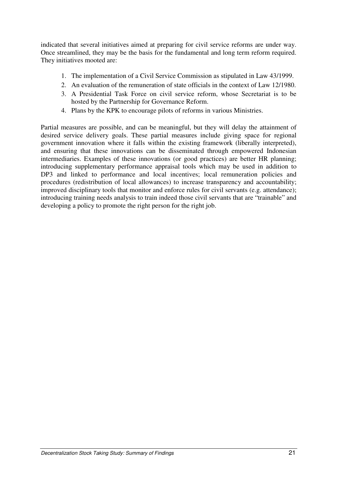indicated that several initiatives aimed at preparing for civil service reforms are under way. Once streamlined, they may be the basis for the fundamental and long term reform required. They initiatives mooted are:

- 1. The implementation of a Civil Service Commission as stipulated in Law 43/1999.
- 2. An evaluation of the remuneration of state officials in the context of Law 12/1980.
- 3. A Presidential Task Force on civil service reform, whose Secretariat is to be hosted by the Partnership for Governance Reform.
- 4. Plans by the KPK to encourage pilots of reforms in various Ministries.

Partial measures are possible, and can be meaningful, but they will delay the attainment of desired service delivery goals. These partial measures include giving space for regional government innovation where it falls within the existing framework (liberally interpreted), and ensuring that these innovations can be disseminated through empowered Indonesian intermediaries. Examples of these innovations (or good practices) are better HR planning; introducing supplementary performance appraisal tools which may be used in addition to DP3 and linked to performance and local incentives; local remuneration policies and procedures (redistribution of local allowances) to increase transparency and accountability; improved disciplinary tools that monitor and enforce rules for civil servants (e.g. attendance); introducing training needs analysis to train indeed those civil servants that are "trainable" and developing a policy to promote the right person for the right job.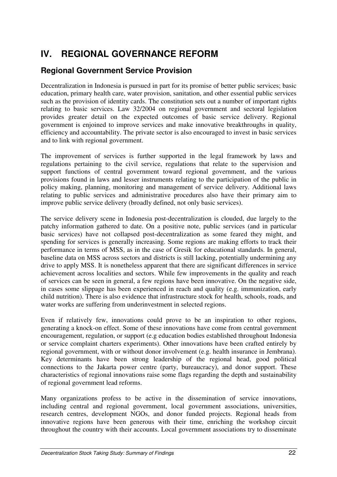# **IV. REGIONAL GOVERNANCE REFORM**

## **Regional Government Service Provision**

Decentralization in Indonesia is pursued in part for its promise of better public services; basic education, primary health care, water provision, sanitation, and other essential public services such as the provision of identity cards. The constitution sets out a number of important rights relating to basic services. Law 32/2004 on regional government and sectoral legislation provides greater detail on the expected outcomes of basic service delivery. Regional government is enjoined to improve services and make innovative breakthroughs in quality, efficiency and accountability. The private sector is also encouraged to invest in basic services and to link with regional government.

The improvement of services is further supported in the legal framework by laws and regulations pertaining to the civil service, regulations that relate to the supervision and support functions of central government toward regional government, and the various provisions found in laws and lesser instruments relating to the participation of the public in policy making, planning, monitoring and management of service delivery. Additional laws relating to public services and administrative procedures also have their primary aim to improve public service delivery (broadly defined, not only basic services).

The service delivery scene in Indonesia post-decentralization is clouded, due largely to the patchy information gathered to date. On a positive note, public services (and in particular basic services) have not collapsed post-decentralization as some feared they might, and spending for services is generally increasing. Some regions are making efforts to track their performance in terms of MSS, as in the case of Gresik for educational standards. In general, baseline data on MSS across sectors and districts is still lacking, potentially undermining any drive to apply MSS. It is nonetheless apparent that there are significant differences in service achievement across localities and sectors. While few improvements in the quality and reach of services can be seen in general, a few regions have been innovative. On the negative side, in cases some slippage has been experienced in reach and quality (e.g. immunization, early child nutrition). There is also evidence that infrastructure stock for health, schools, roads, and water works are suffering from underinvestment in selected regions.

Even if relatively few, innovations could prove to be an inspiration to other regions, generating a knock-on effect. Some of these innovations have come from central government encouragement, regulation, or support (e.g education bodies established throughout Indonesia or service complaint charters experiments). Other innovations have been crafted entirely by regional government, with or without donor involvement (e.g. health insurance in Jembrana). Key determinants have been strong leadership of the regional head, good political connections to the Jakarta power centre (party, bureaucracy), and donor support. These characteristics of regional innovations raise some flags regarding the depth and sustainability of regional government lead reforms.

Many organizations profess to be active in the dissemination of service innovations, including central and regional government, local government associations, universities, research centres, development NGOs, and donor funded projects. Regional heads from innovative regions have been generous with their time, enriching the workshop circuit throughout the country with their accounts. Local government associations try to disseminate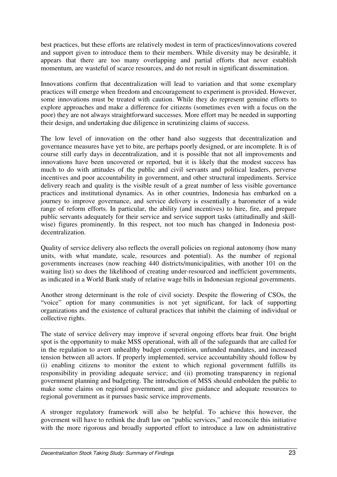best practices, but these efforts are relatively modest in term of practices/innovations covered and support given to introduce them to their members. While diversity may be desirable, it appears that there are too many overlapping and partial efforts that never establish momentum, are wasteful of scarce resources, and do not result in significant dissemination.

Innovations confirm that decentralization will lead to variation and that some exemplary practices will emerge when freedom and encouragement to experiment is provided. However, some innovations must be treated with caution. While they do represent genuine efforts to explore approaches and make a difference for citizens (sometimes even with a focus on the poor) they are not always straightforward successes. More effort may be needed in supporting their design, and undertaking due diligence in scrutinizing claims of success.

The low level of innovation on the other hand also suggests that decentralization and governance measures have yet to bite, are perhaps poorly designed, or are incomplete. It is of course still early days in decentralization, and it is possible that not all improvements and innovations have been uncovered or reported, but it is likely that the modest success has much to do with attitudes of the public and civil servants and political leaders, perverse incentives and poor accountability in government, and other structural impediments. Service delivery reach and quality is the visible result of a great number of less visible governance practices and institutional dynamics. As in other countries, Indonesia has embarked on a journey to improve governance, and service delivery is essentially a barometer of a wide range of reform efforts. In particular, the ability (and incentives) to hire, fire, and prepare public servants adequately for their service and service support tasks (attitudinally and skillwise) figures prominently. In this respect, not too much has changed in Indonesia postdecentralization.

Quality of service delivery also reflects the overall policies on regional autonomy (how many units, with what mandate, scale, resources and potential). As the number of regional governments increases (now reaching 440 districts/municipalities, with another 101 on the waiting list) so does the likelihood of creating under-resourced and inefficient governments, as indicated in a World Bank study of relative wage bills in Indonesian regional governments.

Another strong determinant is the role of civil society. Despite the flowering of CSOs, the "voice" option for many communities is not yet significant, for lack of supporting organizations and the existence of cultural practices that inhibit the claiming of individual or collective rights.

The state of service delivery may improve if several ongoing efforts bear fruit. One bright spot is the opportunity to make MSS operational, with all of the safeguards that are called for in the regulation to avert unhealthy budget competition, unfunded mandates, and increased tension between all actors. If properly implemented, service accountability should follow by (i) enabling citizens to monitor the extent to which regional government fulfills its responsibility in providing adequate service; and (ii) promoting transparency in regional government planning and budgeting. The introduction of MSS should embolden the public to make some claims on regional government, and give guidance and adequate resources to regional government as it pursues basic service improvements.

A stronger regulatory framework will also be helpful. To achieve this however, the goverment will have to rethink the draft law on "public services," and reconcile this initiative with the more rigorous and broadly supported effort to introduce a law on administrative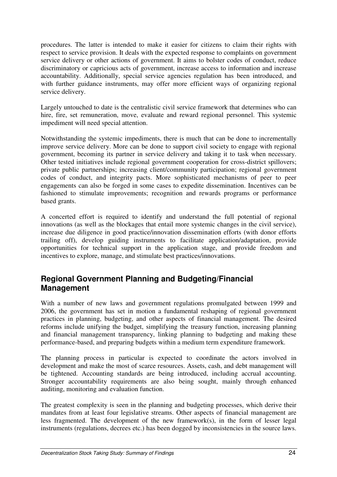procedures. The latter is intended to make it easier for citizens to claim their rights with respect to service provision. It deals with the expected response to complaints on government service delivery or other actions of government. It aims to bolster codes of conduct, reduce discriminatory or capricious acts of government, increase access to information and increase accountability. Additionally, special service agencies regulation has been introduced, and with further guidance instruments, may offer more efficient ways of organizing regional service delivery.

Largely untouched to date is the centralistic civil service framework that determines who can hire, fire, set remuneration, move, evaluate and reward regional personnel. This systemic impediment will need special attention.

Notwithstanding the systemic impediments, there is much that can be done to incrementally improve service delivery. More can be done to support civil society to engage with regional government, becoming its partner in service delivery and taking it to task when necessary. Other tested initiatives include regional government cooperation for cross-district spillovers; private public partnerships; increasing client/community participation; regional government codes of conduct, and integrity pacts. More sophisticated mechanisms of peer to peer engagements can also be forged in some cases to expedite dissemination. Incentives can be fashioned to stimulate improvements; recognition and rewards programs or performance based grants.

A concerted effort is required to identify and understand the full potential of regional innovations (as well as the blockages that entail more systemic changes in the civil service), increase due diligence in good practice/innovation dissemination efforts (with donor efforts trailing off), develop guiding instruments to facilitate application/adaptation, provide opportunities for technical support in the application stage, and provide freedom and incentives to explore, manage, and stimulate best practices/innovations.

#### **Regional Government Planning and Budgeting/Financial Management**

With a number of new laws and government regulations promulgated between 1999 and 2006, the government has set in motion a fundamental reshaping of regional government practices in planning, budgeting, and other aspects of financial management. The desired reforms include unifying the budget, simplifying the treasury function, increasing planning and financial management transparency, linking planning to budgeting and making these performance-based, and preparing budgets within a medium term expenditure framework.

The planning process in particular is expected to coordinate the actors involved in development and make the most of scarce resources. Assets, cash, and debt management will be tightened. Accounting standards are being introduced, including accrual accounting. Stronger accountability requirements are also being sought, mainly through enhanced auditing, monitoring and evaluation function.

The greatest complexity is seen in the planning and budgeting processes, which derive their mandates from at least four legislative streams. Other aspects of financial management are less fragmented. The development of the new framework(s), in the form of lesser legal instruments (regulations, decrees etc.) has been dogged by inconsistencies in the source laws.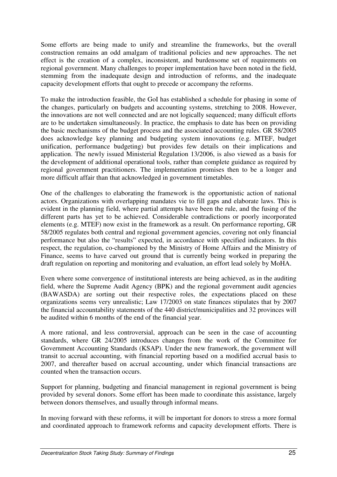Some efforts are being made to unify and streamline the frameworks, but the overall construction remains an odd amalgam of traditional policies and new approaches. The net effect is the creation of a complex, inconsistent, and burdensome set of requirements on regional government. Many challenges to proper implementation have been noted in the field, stemming from the inadequate design and introduction of reforms, and the inadequate capacity development efforts that ought to precede or accompany the reforms.

To make the introduction feasible, the GoI has established a schedule for phasing in some of the changes, particularly on budgets and accounting systems, stretching to 2008. However, the innovations are not well connected and are not logically sequenced; many difficult efforts are to be undertaken simultaneously. In practice, the emphasis to date has been on providing the basic mechanisms of the budget process and the associated accounting rules. GR 58/2005 does acknowledge key planning and budgeting system innovations (e.g. MTEF, budget unification, performance budgeting) but provides few details on their implications and application. The newly issued Ministerial Regulation 13/2006, is also viewed as a basis for the development of additional operational tools, rather than complete guidance as required by regional government practitioners. The implementation promises then to be a longer and more difficult affair than that acknowledged in government timetables.

One of the challenges to elaborating the framework is the opportunistic action of national actors. Organizations with overlapping mandates vie to fill gaps and elaborate laws. This is evident in the planning field, where partial attempts have been the rule, and the fusing of the different parts has yet to be achieved. Considerable contradictions or poorly incorporated elements (e.g. MTEF) now exist in the framework as a result. On performance reporting, GR 58/2005 regulates both central and regional government agencies, covering not only financial performance but also the "results" expected, in accordance with specified indicators. In this respect, the regulation, co-championed by the Ministry of Home Affairs and the Ministry of Finance, seems to have carved out ground that is currently being worked in preparing the draft regulation on reporting and monitoring and evaluation, an effort lead solely by MoHA.

Even where some convergence of institutional interests are being achieved, as in the auditing field, where the Supreme Audit Agency (BPK) and the regional government audit agencies (BAWASDA) are sorting out their respective roles, the expectations placed on these organizations seems very unrealistic; Law 17/2003 on state finances stipulates that by 2007 the financial accountability statements of the 440 district/municipalities and 32 provinces will be audited within 6 months of the end of the financial year.

A more rational, and less controversial, approach can be seen in the case of accounting standards, where GR 24/2005 introduces changes from the work of the Committee for Government Accounting Standards (KSAP). Under the new framework, the government will transit to accrual accounting, with financial reporting based on a modified accrual basis to 2007, and thereafter based on accrual accounting, under which financial transactions are counted when the transaction occurs.

Support for planning, budgeting and financial management in regional government is being provided by several donors. Some effort has been made to coordinate this assistance, largely between donors themselves, and usually through informal means.

In moving forward with these reforms, it will be important for donors to stress a more formal and coordinated approach to framework reforms and capacity development efforts. There is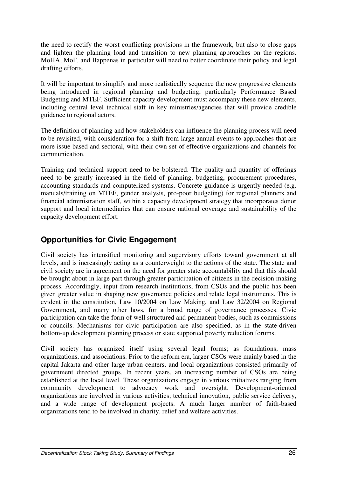the need to rectify the worst conflicting provisions in the framework, but also to close gaps and lighten the planning load and transition to new planning approaches on the regions. MoHA, MoF, and Bappenas in particular will need to better coordinate their policy and legal drafting efforts.

It will be important to simplify and more realistically sequence the new progressive elements being introduced in regional planning and budgeting, particularly Performance Based Budgeting and MTEF. Sufficient capacity development must accompany these new elements, including central level technical staff in key ministries/agencies that will provide credible guidance to regional actors.

The definition of planning and how stakeholders can influence the planning process will need to be revisited, with consideration for a shift from large annual events to approaches that are more issue based and sectoral, with their own set of effective organizations and channels for communication.

Training and technical support need to be bolstered. The quality and quantity of offerings need to be greatly increased in the field of planning, budgeting, procurement procedures, accounting standards and computerized systems. Concrete guidance is urgently needed (e.g. manuals/training on MTEF, gender analysis, pro-poor budgeting) for regional planners and financial administration staff, within a capacity development strategy that incorporates donor support and local intermediaries that can ensure national coverage and sustainability of the capacity development effort.

## **Opportunities for Civic Engagement**

Civil society has intensified monitoring and supervisory efforts toward government at all levels, and is increasingly acting as a counterweight to the actions of the state. The state and civil society are in agreement on the need for greater state accountability and that this should be brought about in large part through greater participation of citizens in the decision making process. Accordingly, input from research institutions, from CSOs and the public has been given greater value in shaping new governance policies and relate legal instruments. This is evident in the constitution, Law 10/2004 on Law Making, and Law 32/2004 on Regional Government, and many other laws, for a broad range of governance processes. Civic participation can take the form of well structured and permanent bodies, such as commissions or councils. Mechanisms for civic participation are also specified, as in the state-driven bottom-up development planning process or state supported poverty reduction forums.

Civil society has organized itself using several legal forms; as foundations, mass organizations, and associations. Prior to the reform era, larger CSOs were mainly based in the capital Jakarta and other large urban centers, and local organizations consisted primarily of government directed groups. In recent years, an increasing number of CSOs are being established at the local level. These organizations engage in various initiatives ranging from community development to advocacy work and oversight. Development-oriented organizations are involved in various activities; technical innovation, public service delivery, and a wide range of development projects. A much larger number of faith-based organizations tend to be involved in charity, relief and welfare activities.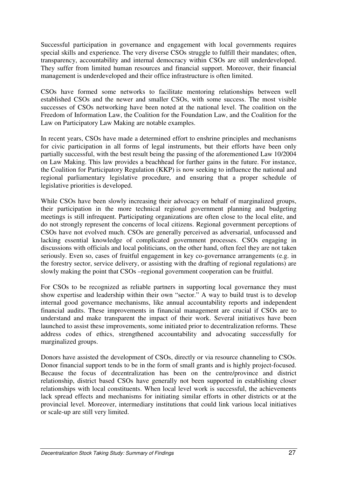Successful participation in governance and engagement with local governments requires special skills and experience. The very diverse CSOs struggle to fulfill their mandates; often, transparency, accountability and internal democracy within CSOs are still underdeveloped. They suffer from limited human resources and financial support. Moreover, their financial management is underdeveloped and their office infrastructure is often limited.

CSOs have formed some networks to facilitate mentoring relationships between well established CSOs and the newer and smaller CSOs, with some success. The most visible successes of CSOs networking have been noted at the national level. The coalition on the Freedom of Information Law, the Coalition for the Foundation Law, and the Coalition for the Law on Participatory Law Making are notable examples.

In recent years, CSOs have made a determined effort to enshrine principles and mechanisms for civic participation in all forms of legal instruments, but their efforts have been only partially successful, with the best result being the passing of the aforementioned Law 10/2004 on Law Making. This law provides a beachhead for further gains in the future. For instance, the Coalition for Participatory Regulation (KKP) is now seeking to influence the national and regional parliamentary legislative procedure, and ensuring that a proper schedule of legislative priorities is developed.

While CSOs have been slowly increasing their advocacy on behalf of marginalized groups, their participation in the more technical regional government planning and budgeting meetings is still infrequent. Participating organizations are often close to the local elite, and do not strongly represent the concerns of local citizens. Regional government perceptions of CSOs have not evolved much. CSOs are generally perceived as adversarial, unfocussed and lacking essential knowledge of complicated government processes. CSOs engaging in discussions with officials and local politicians, on the other hand, often feel they are not taken seriously. Even so, cases of fruitful engagement in key co-governance arrangements (e.g. in the forestry sector, service delivery, or assisting with the drafting of regional regulations) are slowly making the point that CSOs –regional government cooperation can be fruitful.

For CSOs to be recognized as reliable partners in supporting local governance they must show expertise and leadership within their own "sector." A way to build trust is to develop internal good governance mechanisms, like annual accountability reports and independent financial audits. These improvements in financial management are crucial if CSOs are to understand and make transparent the impact of their work. Several initiatives have been launched to assist these improvements, some initiated prior to decentralization reforms. These address codes of ethics, strengthened accountability and advocating successfully for marginalized groups.

Donors have assisted the development of CSOs, directly or via resource channeling to CSOs. Donor financial support tends to be in the form of small grants and is highly project-focused. Because the focus of decentralization has been on the centre/province and district relationship, district based CSOs have generally not been supported in establishing closer relationships with local constituents. When local level work is successful, the achievements lack spread effects and mechanisms for initiating similar efforts in other districts or at the provincial level. Moreover, intermediary institutions that could link various local initiatives or scale-up are still very limited.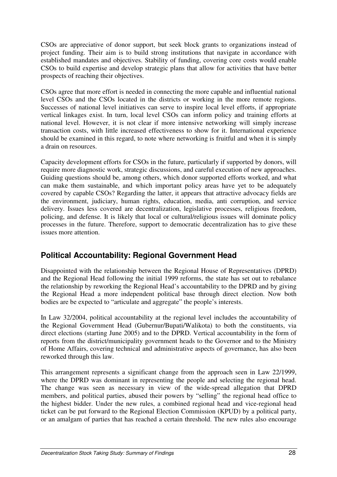CSOs are appreciative of donor support, but seek block grants to organizations instead of project funding. Their aim is to build strong institutions that navigate in accordance with established mandates and objectives. Stability of funding, covering core costs would enable CSOs to build expertise and develop strategic plans that allow for activities that have better prospects of reaching their objectives.

CSOs agree that more effort is needed in connecting the more capable and influential national level CSOs and the CSOs located in the districts or working in the more remote regions. Successes of national level initiatives can serve to inspire local level efforts, if appropriate vertical linkages exist. In turn, local level CSOs can inform policy and training efforts at national level. However, it is not clear if more intensive networking will simply increase transaction costs, with little increased effectiveness to show for it. International experience should be examined in this regard, to note where networking is fruitful and when it is simply a drain on resources.

Capacity development efforts for CSOs in the future, particularly if supported by donors, will require more diagnostic work, strategic discussions, and careful execution of new approaches. Guiding questions should be, among others, which donor supported efforts worked, and what can make them sustainable, and which important policy areas have yet to be adequately covered by capable CSOs? Regarding the latter, it appears that attractive advocacy fields are the environment, judiciary, human rights, education, media, anti corruption, and service delivery. Issues less covered are decentralization, legislative processes, religious freedom, policing, and defense. It is likely that local or cultural/religious issues will dominate policy processes in the future. Therefore, support to democratic decentralization has to give these issues more attention.

# **Political Accountability: Regional Government Head**

Disappointed with the relationship between the Regional House of Representatives (DPRD) and the Regional Head following the initial 1999 reforms, the state has set out to rebalance the relationship by reworking the Regional Head's accountability to the DPRD and by giving the Regional Head a more independent political base through direct election. Now both bodies are be expected to "articulate and aggregate" the people's interests.

In Law 32/2004, political accountability at the regional level includes the accountability of the Regional Government Head (Gubernur/Bupati/Walikota) to both the constituents, via direct elections (starting June 2005) and to the DPRD. Vertical accountability in the form of reports from the district/municipality government heads to the Governor and to the Ministry of Home Affairs, covering technical and administrative aspects of governance, has also been reworked through this law.

This arrangement represents a significant change from the approach seen in Law 22/1999, where the DPRD was dominant in representing the people and selecting the regional head. The change was seen as necessary in view of the wide-spread allegation that DPRD members, and political parties, abused their powers by "selling" the regional head office to the highest bidder. Under the new rules, a combined regional head and vice-regional head ticket can be put forward to the Regional Election Commission (KPUD) by a political party, or an amalgam of parties that has reached a certain threshold. The new rules also encourage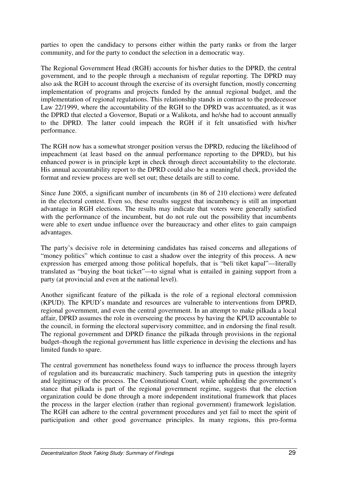parties to open the candidacy to persons either within the party ranks or from the larger community, and for the party to conduct the selection in a democratic way.

The Regional Government Head (RGH) accounts for his/her duties to the DPRD, the central government, and to the people through a mechanism of regular reporting. The DPRD may also ask the RGH to account through the exercise of its oversight function, mostly concerning implementation of programs and projects funded by the annual regional budget, and the implementation of regional regulations. This relationship stands in contrast to the predecessor Law 22/1999, where the accountability of the RGH to the DPRD was accentuated, as it was the DPRD that elected a Governor, Bupati or a Walikota, and he/she had to account annually to the DPRD. The latter could impeach the RGH if it felt unsatisfied with his/her performance.

The RGH now has a somewhat stronger position versus the DPRD, reducing the likelihood of impeachment (at least based on the annual performance reporting to the DPRD), but his enhanced power is in principle kept in check through direct accountability to the electorate. His annual accountability report to the DPRD could also be a meaningful check, provided the format and review process are well set out; these details are still to come.

Since June 2005, a significant number of incumbents (in 86 of 210 elections) were defeated in the electoral contest. Even so, these results suggest that incumbency is still an important advantage in RGH elections. The results may indicate that voters were generally satisfied with the performance of the incumbent, but do not rule out the possibility that incumbents were able to exert undue influence over the bureaucracy and other elites to gain campaign advantages.

The party's decisive role in determining candidates has raised concerns and allegations of "money politics" which continue to cast a shadow over the integrity of this process. A new expression has emerged among those political hopefuls, that is "beli tiket kapal"—literally translated as "buying the boat ticket"—to signal what is entailed in gaining support from a party (at provincial and even at the national level).

Another significant feature of the pilkada is the role of a regional electoral commission (KPUD). The KPUD's mandate and resources are vulnerable to interventions from DPRD, regional government, and even the central government. In an attempt to make pilkada a local affair, DPRD assumes the role in overseeing the process by having the KPUD accountable to the council, in forming the electoral supervisory committee, and in endorsing the final result. The regional government and DPRD finance the pilkada through provisions in the regional budget–though the regional government has little experience in devising the elections and has limited funds to spare.

The central government has nonetheless found ways to influence the process through layers of regulation and its bureaucratic machinery. Such tampering puts in question the integrity and legitimacy of the process. The Constitutional Court, while upholding the government's stance that pilkada is part of the regional government regime, suggests that the election organization could be done through a more independent institutional framework that places the process in the larger election (rather than regional government) framework legislation. The RGH can adhere to the central government procedures and yet fail to meet the spirit of participation and other good governance principles. In many regions, this pro-forma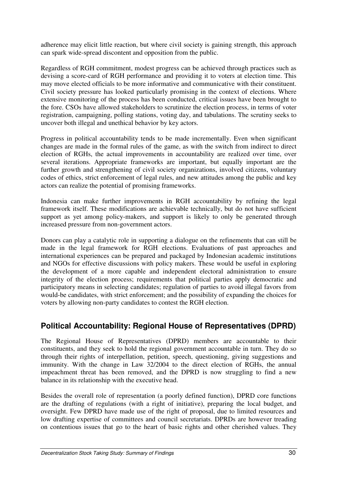adherence may elicit little reaction, but where civil society is gaining strength, this approach can spark wide-spread discontent and opposition from the public.

Regardless of RGH commitment, modest progress can be achieved through practices such as devising a score-card of RGH performance and providing it to voters at election time. This may move elected officials to be more informative and communicative with their constituent. Civil society pressure has looked particularly promising in the context of elections. Where extensive monitoring of the process has been conducted, critical issues have been brought to the fore. CSOs have allowed stakeholders to scrutinize the election process, in terms of voter registration, campaigning, polling stations, voting day, and tabulations. The scrutiny seeks to uncover both illegal and unethical behavior by key actors.

Progress in political accountability tends to be made incrementally. Even when significant changes are made in the formal rules of the game, as with the switch from indirect to direct election of RGHs, the actual improvements in accountability are realized over time, over several iterations. Appropriate frameworks are important, but equally important are the further growth and strengthening of civil society organizations, involved citizens, voluntary codes of ethics, strict enforcement of legal rules, and new attitudes among the public and key actors can realize the potential of promising frameworks.

Indonesia can make further improvements in RGH accountability by refining the legal framework itself. These modifications are achievable technically, but do not have sufficient support as yet among policy-makers, and support is likely to only be generated through increased pressure from non-government actors.

Donors can play a catalytic role in supporting a dialogue on the refinements that can still be made in the legal framework for RGH elections. Evaluations of past approaches and international experiences can be prepared and packaged by Indonesian academic institutions and NGOs for effective discussions with policy makers. These would be useful in exploring the development of a more capable and independent electoral administration to ensure integrity of the election process; requirements that political parties apply democratic and participatory means in selecting candidates; regulation of parties to avoid illegal favors from would-be candidates, with strict enforcement; and the possibility of expanding the choices for voters by allowing non-party candidates to contest the RGH election.

## **Political Accountability: Regional House of Representatives (DPRD)**

The Regional House of Representatives (DPRD) members are accountable to their constituents, and they seek to hold the regional government accountable in turn. They do so through their rights of interpellation, petition, speech, questioning, giving suggestions and immunity. With the change in Law 32/2004 to the direct election of RGHs, the annual impeachment threat has been removed, and the DPRD is now struggling to find a new balance in its relationship with the executive head.

Besides the overall role of representation (a poorly defined function), DPRD core functions are the drafting of regulations (with a right of initiative), preparing the local budget, and oversight. Few DPRD have made use of the right of proposal, due to limited resources and low drafting expertise of committees and council secretariats. DPRDs are however treading on contentious issues that go to the heart of basic rights and other cherished values. They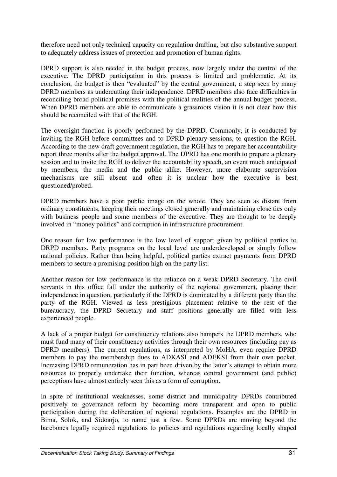therefore need not only technical capacity on regulation drafting, but also substantive support to adequately address issues of protection and promotion of human rights.

DPRD support is also needed in the budget process, now largely under the control of the executive. The DPRD participation in this process is limited and problematic. At its conclusion, the budget is then "evaluated" by the central government, a step seen by many DPRD members as undercutting their independence. DPRD members also face difficulties in reconciling broad political promises with the political realities of the annual budget process. When DPRD members are able to communicate a grassroots vision it is not clear how this should be reconciled with that of the RGH.

The oversight function is poorly performed by the DPRD. Commonly, it is conducted by inviting the RGH before committees and to DPRD plenary sessions, to question the RGH. According to the new draft government regulation, the RGH has to prepare her accountability report three months after the budget approval. The DPRD has one month to prepare a plenary session and to invite the RGH to deliver the accountability speech, an event much anticipated by members, the media and the public alike. However, more elaborate supervision mechanisms are still absent and often it is unclear how the executive is best questioned/probed.

DPRD members have a poor public image on the whole. They are seen as distant from ordinary constituents, keeping their meetings closed generally and maintaining close ties only with business people and some members of the executive. They are thought to be deeply involved in "money politics" and corruption in infrastructure procurement.

One reason for low performance is the low level of support given by political parties to DRPD members. Party programs on the local level are underdeveloped or simply follow national policies. Rather than being helpful, political parties extract payments from DPRD members to secure a promising position high on the party list.

Another reason for low performance is the reliance on a weak DPRD Secretary. The civil servants in this office fall under the authority of the regional government, placing their independence in question, particularly if the DPRD is dominated by a different party than the party of the RGH. Viewed as less prestigious placement relative to the rest of the bureaucracy, the DPRD Secretary and staff positions generally are filled with less experienced people.

A lack of a proper budget for constituency relations also hampers the DPRD members, who must fund many of their constituency activities through their own resources (including pay as DPRD members). The current regulations, as interpreted by MoHA, even require DPRD members to pay the membership dues to ADKASI and ADEKSI from their own pocket. Increasing DPRD remuneration has in part been driven by the latter's attempt to obtain more resources to properly undertake their function, whereas central government (and public) perceptions have almost entirely seen this as a form of corruption.

In spite of institutional weaknesses, some district and municipality DPRDs contributed positively to governance reform by becoming more transparent and open to public participation during the deliberation of regional regulations. Examples are the DPRD in Bima, Solok, and Sidoarjo, to name just a few. Some DPRDs are moving beyond the barebones legally required regulations to policies and regulations regarding locally shaped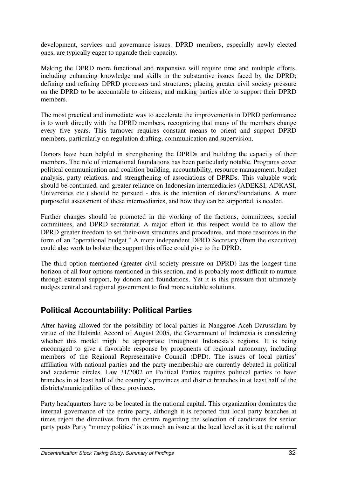development, services and governance issues. DPRD members, especially newly elected ones, are typically eager to upgrade their capacity.

Making the DPRD more functional and responsive will require time and multiple efforts, including enhancing knowledge and skills in the substantive issues faced by the DPRD; defining and refining DPRD processes and structures; placing greater civil society pressure on the DPRD to be accountable to citizens; and making parties able to support their DPRD members.

The most practical and immediate way to accelerate the improvements in DPRD performance is to work directly with the DPRD members, recognizing that many of the members change every five years. This turnover requires constant means to orient and support DPRD members, particularly on regulation drafting, communication and supervision.

Donors have been helpful in strengthening the DPRDs and building the capacity of their members. The role of international foundations has been particularly notable. Programs cover political communication and coalition building, accountability, resource management, budget analysis, party relations, and strengthening of associations of DPRDs. This valuable work should be continued, and greater reliance on Indonesian intermediaries (ADEKSI, ADKASI, Universities etc.) should be pursued - this is the intention of donors/foundations. A more purposeful assessment of these intermediaries, and how they can be supported, is needed.

Further changes should be promoted in the working of the factions, committees, special committees, and DPRD secretariat. A major effort in this respect would be to allow the DPRD greater freedom to set their-own structures and procedures, and more resources in the form of an "operational budget." A more independent DPRD Secretary (from the executive) could also work to bolster the support this office could give to the DPRD.

The third option mentioned (greater civil society pressure on DPRD) has the longest time horizon of all four options mentioned in this section, and is probably most difficult to nurture through external support, by donors and foundations. Yet it is this pressure that ultimately nudges central and regional government to find more suitable solutions.

## **Political Accountability: Political Parties**

After having allowed for the possibility of local parties in Nanggroe Aceh Darussalam by virtue of the Helsinki Accord of August 2005, the Government of Indonesia is considering whether this model might be appropriate throughout Indonesia's regions. It is being encouraged to give a favorable response by proponents of regional autonomy, including members of the Regional Representative Council (DPD). The issues of local parties' affiliation with national parties and the party membership are currently debated in political and academic circles. Law 31/2002 on Political Parties requires political parties to have branches in at least half of the country's provinces and district branches in at least half of the districts/municipalities of these provinces.

Party headquarters have to be located in the national capital. This organization dominates the internal governance of the entire party, although it is reported that local party branches at times reject the directives from the centre regarding the selection of candidates for senior party posts Party "money politics" is as much an issue at the local level as it is at the national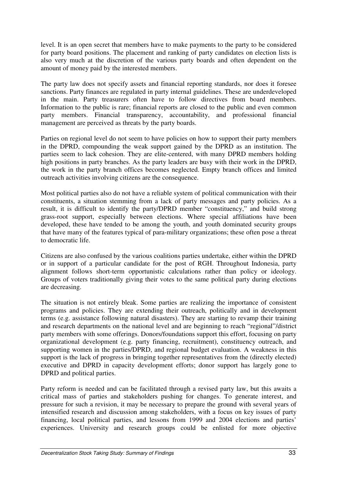level. It is an open secret that members have to make payments to the party to be considered for party board positions. The placement and ranking of party candidates on election lists is also very much at the discretion of the various party boards and often dependent on the amount of money paid by the interested members.

The party law does not specify assets and financial reporting standards, nor does it foresee sanctions. Party finances are regulated in party internal guidelines. These are underdeveloped in the main. Party treasurers often have to follow directives from board members. Information to the public is rare; financial reports are closed to the public and even common party members. Financial transparency, accountability, and professional financial management are perceived as threats by the party boards.

Parties on regional level do not seem to have policies on how to support their party members in the DPRD, compounding the weak support gained by the DPRD as an institution. The parties seem to lack cohesion. They are elite-centered, with many DPRD members holding high positions in party branches. As the party leaders are busy with their work in the DPRD, the work in the party branch offices becomes neglected. Empty branch offices and limited outreach activities involving citizens are the consequence.

Most political parties also do not have a reliable system of political communication with their constituents, a situation stemming from a lack of party messages and party policies. As a result, it is difficult to identify the party/DPRD member "constituency," and build strong grass-root support, especially between elections. Where special affiliations have been developed, these have tended to be among the youth, and youth dominated security groups that have many of the features typical of para-military organizations; these often pose a threat to democratic life.

Citizens are also confused by the various coalitions parties undertake, either within the DPRD or in support of a particular candidate for the post of RGH. Throughout Indonesia, party alignment follows short-term opportunistic calculations rather than policy or ideology. Groups of voters traditionally giving their votes to the same political party during elections are decreasing.

The situation is not entirely bleak. Some parties are realizing the importance of consistent programs and policies. They are extending their outreach, politically and in development terms (e.g. assistance following natural disasters). They are starting to revamp their training and research departments on the national level and are beginning to reach "regional"/district party members with some offerings. Donors/foundations support this effort, focusing on party organizational development (e.g. party financing, recruitment), constituency outreach, and supporting women in the parties/DPRD, and regional budget evaluation. A weakness in this support is the lack of progress in bringing together representatives from the (directly elected) executive and DPRD in capacity development efforts; donor support has largely gone to DPRD and political parties.

Party reform is needed and can be facilitated through a revised party law, but this awaits a critical mass of parties and stakeholders pushing for changes. To generate interest, and pressure for such a revision, it may be necessary to prepare the ground with several years of intensified research and discussion among stakeholders, with a focus on key issues of party financing, local political parties, and lessons from 1999 and 2004 elections and parties' experiences. University and research groups could be enlisted for more objective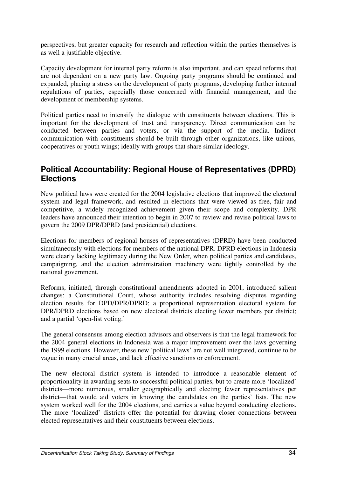perspectives, but greater capacity for research and reflection within the parties themselves is as well a justifiable objective.

Capacity development for internal party reform is also important, and can speed reforms that are not dependent on a new party law. Ongoing party programs should be continued and expanded, placing a stress on the development of party programs, developing further internal regulations of parties, especially those concerned with financial management, and the development of membership systems.

Political parties need to intensify the dialogue with constituents between elections. This is important for the development of trust and transparency. Direct communication can be conducted between parties and voters, or via the support of the media. Indirect communication with constituents should be built through other organizations, like unions, cooperatives or youth wings; ideally with groups that share similar ideology.

#### **Political Accountability: Regional House of Representatives (DPRD) Elections**

New political laws were created for the 2004 legislative elections that improved the electoral system and legal framework, and resulted in elections that were viewed as free, fair and competitive, a widely recognized achievement given their scope and complexity. DPR leaders have announced their intention to begin in 2007 to review and revise political laws to govern the 2009 DPR/DPRD (and presidential) elections.

Elections for members of regional houses of representatives (DPRD) have been conducted simultaneously with elections for members of the national DPR. DPRD elections in Indonesia were clearly lacking legitimacy during the New Order, when political parties and candidates, campaigning, and the election administration machinery were tightly controlled by the national government.

Reforms, initiated, through constitutional amendments adopted in 2001, introduced salient changes: a Constitutional Court, whose authority includes resolving disputes regarding election results for DPD/DPR/DPRD; a proportional representation electoral system for DPR/DPRD elections based on new electoral districts electing fewer members per district; and a partial 'open-list voting.'

The general consensus among election advisors and observers is that the legal framework for the 2004 general elections in Indonesia was a major improvement over the laws governing the 1999 elections. However, these new 'political laws' are not well integrated, continue to be vague in many crucial areas, and lack effective sanctions or enforcement.

The new electoral district system is intended to introduce a reasonable element of proportionality in awarding seats to successful political parties, but to create more 'localized' districts—more numerous, smaller geographically and electing fewer representatives per district—that would aid voters in knowing the candidates on the parties' lists. The new system worked well for the 2004 elections, and carries a value beyond conducting elections. The more 'localized' districts offer the potential for drawing closer connections between elected representatives and their constituents between elections.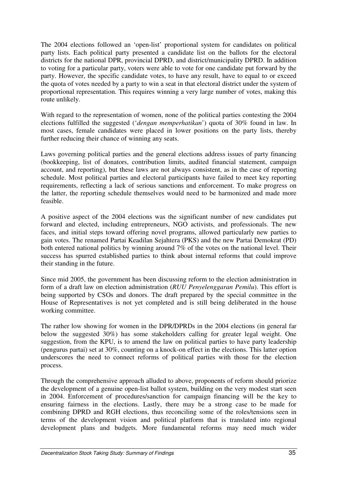The 2004 elections followed an 'open-list' proportional system for candidates on political party lists. Each political party presented a candidate list on the ballots for the electoral districts for the national DPR, provincial DPRD, and district/municipality DPRD. In addition to voting for a particular party, voters were able to vote for one candidate put forward by the party. However, the specific candidate votes, to have any result, have to equal to or exceed the quota of votes needed by a party to win a seat in that electoral district under the system of proportional representation. This requires winning a very large number of votes, making this route unlikely.

With regard to the representation of women, none of the political parties contesting the 2004 elections fulfilled the suggested ('*dengan memperhatikan*') quota of 30% found in law. In most cases, female candidates were placed in lower positions on the party lists, thereby further reducing their chance of winning any seats.

Laws governing political parties and the general elections address issues of party financing (bookkeeping, list of donators, contribution limits, audited financial statement, campaign account, and reporting), but these laws are not always consistent, as in the case of reporting schedule. Most political parties and electoral participants have failed to meet key reporting requirements, reflecting a lack of serious sanctions and enforcement. To make progress on the latter, the reporting schedule themselves would need to be harmonized and made more feasible.

A positive aspect of the 2004 elections was the significant number of new candidates put forward and elected, including entrepreneurs, NGO activists, and professionals. The new faces, and initial steps toward offering novel programs, allowed particularly new parties to gain votes. The renamed Partai Keadilan Sejahtera (PKS) and the new Partai Demokrat (PD) both entered national politics by winning around 7% of the votes on the national level. Their success has spurred established parties to think about internal reforms that could improve their standing in the future.

Since mid 2005, the government has been discussing reform to the election administration in form of a draft law on election administration (*RUU Penyelenggaran Pemilu*). This effort is being supported by CSOs and donors. The draft prepared by the special committee in the House of Representatives is not yet completed and is still being deliberated in the house working committee.

The rather low showing for women in the DPR/DPRDs in the 2004 elections (in general far below the suggested 30%) has some stakeholders calling for greater legal weight. One suggestion, from the KPU, is to amend the law on political parties to have party leadership (pengurus partai) set at 30%, counting on a knock-on effect in the elections. This latter option underscores the need to connect reforms of political parties with those for the election process.

Through the comprehensive approach alluded to above, proponents of reform should priorize the development of a genuine open-list ballot system, building on the very modest start seen in 2004. Enforcement of procedures/sanction for campaign financing will be the key to ensuring fairness in the elections. Lastly, there may be a strong case to be made for combining DPRD and RGH elections, thus reconciling some of the roles/tensions seen in terms of the development vision and political platform that is translated into regional development plans and budgets. More fundamental reforms may need much wider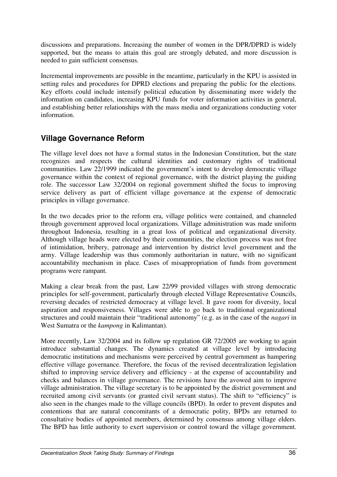discussions and preparations. Increasing the number of women in the DPR/DPRD is widely supported, but the means to attain this goal are strongly debated, and more discussion is needed to gain sufficient consensus.

Incremental improvements are possible in the meantime, particularly in the KPU is assisted in setting rules and procedures for DPRD elections and preparing the public for the elections. Key efforts could include intensify political education by disseminating more widely the information on candidates, increasing KPU funds for voter information activities in general, and establishing better relationships with the mass media and organizations conducting voter information.

## **Village Governance Reform**

The village level does not have a formal status in the Indonesian Constitution, but the state recognizes and respects the cultural identities and customary rights of traditional communities. Law 22/1999 indicated the government's intent to develop democratic village governance within the context of regional governance, with the district playing the guiding role. The successor Law 32/2004 on regional government shifted the focus to improving service delivery as part of efficient village governance at the expense of democratic principles in village governance.

In the two decades prior to the reform era, village politics were contained, and channeled through government approved local organizations. Village administration was made uniform throughout Indonesia, resulting in a great loss of political and organizational diversity. Although village heads were elected by their communities, the election process was not free of intimidation, bribery, patronage and intervention by district level government and the army. Village leadership was thus commonly authoritarian in nature, with no significant accountability mechanism in place. Cases of misappropriation of funds from government programs were rampant.

Making a clear break from the past, Law 22/99 provided villages with strong democratic principles for self-government, particularly through elected Village Representative Councils, reversing decades of restricted democracy at village level. It gave room for diversity, local aspiration and responsiveness. Villages were able to go back to traditional organizational structures and could maintain their "traditional autonomy" (e.g. as in the case of the *nagari* in West Sumatra or the *kampong* in Kalimantan).

More recently, Law 32/2004 and its follow up regulation GR 72/2005 are working to again introduce substantial changes. The dynamics created at village level by introducing democratic institutions and mechanisms were perceived by central government as hampering effective village governance. Therefore, the focus of the revised decentralization legislation shifted to improving service delivery and efficiency - at the expense of accountability and checks and balances in village governance. The revisions have the avowed aim to improve village administration. The village secretary is to be appointed by the district government and recruited among civil servants (or granted civil servant status). The shift to "efficiency" is also seen in the changes made to the village councils (BPD). In order to prevent disputes and contentions that are natural concomitants of a democratic polity, BPDs are returned to consultative bodies of appointed members, determined by consensus among village elders. The BPD has little authority to exert supervision or control toward the village government.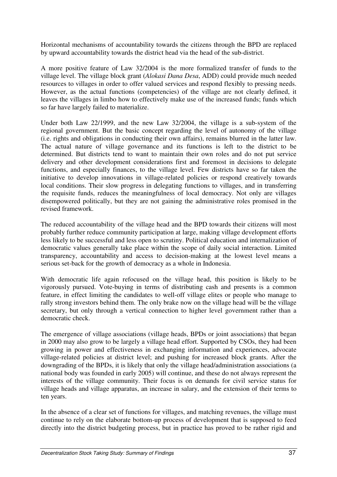Horizontal mechanisms of accountability towards the citizens through the BPD are replaced by upward accountability towards the district head via the head of the sub-district.

A more positive feature of Law 32/2004 is the more formalized transfer of funds to the village level. The village block grant (*Alokasi Dana Desa*, ADD) could provide much needed resources to villages in order to offer valued services and respond flexibly to pressing needs. However, as the actual functions (competencies) of the village are not clearly defined, it leaves the villages in limbo how to effectively make use of the increased funds; funds which so far have largely failed to materialize.

Under both Law 22/1999, and the new Law 32/2004, the village is a sub-system of the regional government. But the basic concept regarding the level of autonomy of the village (i.e. rights and obligations in conducting their own affairs), remains blurred in the latter law. The actual nature of village governance and its functions is left to the district to be determined. But districts tend to want to maintain their own roles and do not put service delivery and other development considerations first and foremost in decisions to delegate functions, and especially finances, to the village level. Few districts have so far taken the initiative to develop innovations in village-related policies or respond creatively towards local conditions. Their slow progress in delegating functions to villages, and in transferring the requisite funds, reduces the meaningfulness of local democracy. Not only are villages disempowered politically, but they are not gaining the administrative roles promised in the revised framework.

The reduced accountability of the village head and the BPD towards their citizens will most probably further reduce community participation at large, making village development efforts less likely to be successful and less open to scrutiny. Political education and internalization of democratic values generally take place within the scope of daily social interaction. Limited transparency, accountability and access to decision-making at the lowest level means a serious set-back for the growth of democracy as a whole in Indonesia.

With democratic life again refocused on the village head, this position is likely to be vigorously pursued. Vote-buying in terms of distributing cash and presents is a common feature, in effect limiting the candidates to well-off village elites or people who manage to rally strong investors behind them. The only brake now on the village head will be the village secretary, but only through a vertical connection to higher level government rather than a democratic check.

The emergence of village associations (village heads, BPDs or joint associations) that began in 2000 may also grow to be largely a village head effort. Supported by CSOs, they had been growing in power and effectiveness in exchanging information and experiences, advocate village-related policies at district level; and pushing for increased block grants. After the downgrading of the BPDs, it is likely that only the village head/administration associations (a national body was founded in early 2005) will continue, and these do not always represent the interests of the village community. Their focus is on demands for civil service status for village heads and village apparatus, an increase in salary, and the extension of their terms to ten years.

In the absence of a clear set of functions for villages, and matching revenues, the village must continue to rely on the elaborate bottom-up process of development that is supposed to feed directly into the district budgeting process, but in practice has proved to be rather rigid and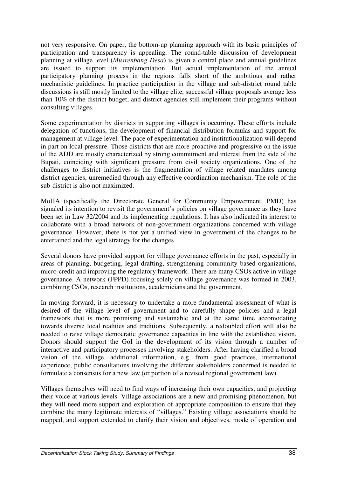not very responsive. On paper, the bottom-up planning approach with its basic principles of participation and transparency is appealing. The round-table discussion of development planning at village level (*Musrenbang Desa*) is given a central place and annual guidelines are issued to support its implementation. But actual implementation of the annual participatory planning process in the regions falls short of the ambitious and rather mechanistic guidelines. In practice participation in the village and sub-district round table discussions is still mostly limited to the village elite, successful village proposals average less than 10% of the district budget, and district agencies still implement their programs without consulting villages.

Some experimentation by districts in supporting villages is occurring. These efforts include delegation of functions, the development of financial distribution formulas and support for management at village level. The pace of experimentation and institutionalization will depend in part on local pressure. Those districts that are more proactive and progressive on the issue of the ADD are mostly characterized by strong commitment and interest from the side of the Bupati, coinciding with significant pressure from civil society organizations. One of the challenges to district initiatives is the fragmentation of village related mandates among district agencies, unremedied through any effective coordination mechanism. The role of the sub-district is also not maximized.

MoHA (specifically the Directorate General for Community Empowerment, PMD) has signaled its intention to revisit the government's policies on village governance as they have been set in Law 32/2004 and its implementing regulations. It has also indicated its interest to collaborate with a broad network of non-government organizations concerned with village governance. However, there is not yet a unified view in government of the changes to be entertained and the legal strategy for the changes.

Several donors have provided support for village governance efforts in the past, especially in areas of planning, budgeting, legal drafting, strengthening community based organizations, micro-credit and improving the regulatory framework. There are many CSOs active in village governance. A network (FPPD) focusing solely on village governance was formed in 2003, combining CSOs, research institutions, academicians and the government.

In moving forward, it is necessary to undertake a more fundamental assessment of what is desired of the village level of government and to carefully shape policies and a legal framework that is more promising and sustainable and at the same time accomodating towards diverse local realities and traditions. Subsequently, a redoubled effort will also be needed to raise village democratic governance capacities in line with the established vision. Donors should support the GoI in the development of its vision through a number of interactive and participatory processes involving stakeholders. After having clarified a broad vision of the village, additional information, e.g. from good practices, international experience, public consultations involving the different stakeholders concerned is needed to formulate a consensus for a new law (or portion of a revised regional government law).

Villages themselves will need to find ways of increasing their own capacities, and projecting their voice at various levels. Village associations are a new and promising phenomenon, but they will need more support and exploration of appropriate composition to ensure that they combine the many legitimate interests of "villages." Existing village associations should be mapped, and support extended to clarify their vision and objectives, mode of operation and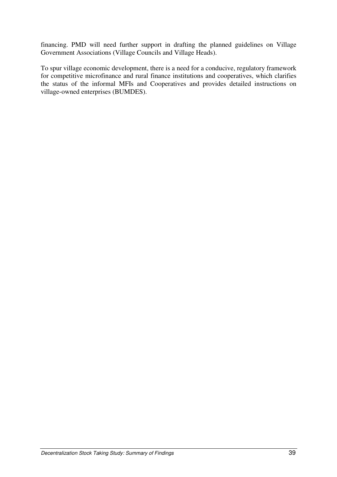financing. PMD will need further support in drafting the planned guidelines on Village Government Associations (Village Councils and Village Heads).

To spur village economic development, there is a need for a conducive, regulatory framework for competitive microfinance and rural finance institutions and cooperatives, which clarifies the status of the informal MFIs and Cooperatives and provides detailed instructions on village-owned enterprises (BUMDES).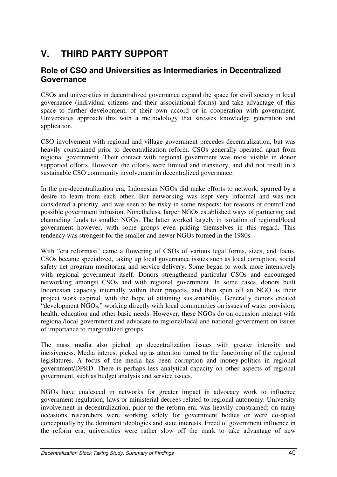# **V. THIRD PARTY SUPPORT**

#### **Role of CSO and Universities as Intermediaries in Decentralized Governance**

CSOs and universities in decentralized governance expand the space for civil society in local governance (individual citizens and their associational forms) and take advantage of this space to further development, of their own accord or in cooperation with government. Universities approach this with a methodology that stresses knowledge generation and application.

CSO involvement with regional and village government precedes decentralization, but was heavily constrained prior to decentralization reform. CSOs generally operated apart from regional government. Their contact with regional government was most visible in donor supported efforts. However, the efforts were limited and transitory, and did not result in a sustainable CSO community involvement in decentralized governance.

In the pre-decentralization era, Indonesian NGOs did make efforts to network, spurred by a desire to learn from each other. But networking was kept very informal and was not considered a priority, and was seen to be risky in some respects; for reasons of control and possible government intrusion. Nonetheless, larger NGOs established ways of partnering and channeling funds to smaller NGOs. The latter worked largely in isolation of regional/local government however, with some groups even priding themselves in this regard. This tendency was strongest for the smaller and newer NGOs formed in the 1980s.

With "era reformasi" came a flowering of CSOs of various legal forms, sizes, and focus. CSOs became specialized, taking up local governance issues such as local corruption, social safety net program monitoring and service delivery. Some began to work more intensively with regional government itself. Donors strengthened particular CSOs and encouraged networking amongst CSOs and with regional government. In some cases, donors built Indonesian capacity internally within their projects, and then spun off an NGO as their project work expired, with the hope of attaining sustainability. Generally donors created "development NGOs," working directly with local communities on issues of water provision, health, education and other basic needs. However, these NGOs do on occasion interact with regional/local government and advocate to regional/local and national government on issues of importance to marginalized groups.

The mass media also picked up decentralization issues with greater intensity and incisiveness. Media interest picked up as attention turned to the functioning of the regional legislatures. A focus of the media has been corruption and money-politics in regional government/DPRD. There is perhaps less analytical capacity on other aspects of regional government, such as budget analysis and service issues.

NGOs have coalesced in networks for greater impact in advocacy work to influence government regulation, laws or ministerial decrees related to regional autonomy. University involvement in decentralization, prior to the reform era, was heavily constrained; on many occasions researchers were working solely for government bodies or were co-opted conceptually by the dominant ideologies and state interests. Freed of government influence in the reform era, universities were rather slow off the mark to take advantage of new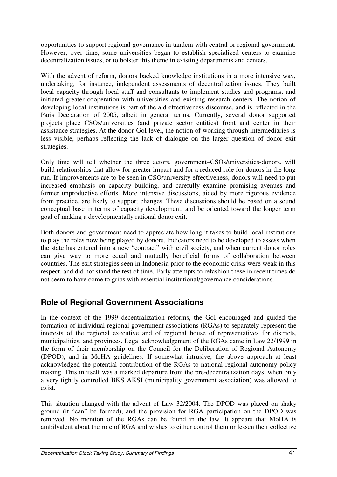opportunities to support regional governance in tandem with central or regional government. However, over time, some universities began to establish specialized centers to examine decentralization issues, or to bolster this theme in existing departments and centers.

With the advent of reform, donors backed knowledge institutions in a more intensive way, undertaking, for instance, independent assessments of decentralization issues. They built local capacity through local staff and consultants to implement studies and programs, and initiated greater cooperation with universities and existing research centers. The notion of developing local institutions is part of the aid effectiveness discourse, and is reflected in the Paris Declaration of 2005, albeit in general terms. Currently, several donor supported projects place CSOs/universities (and private sector entities) front and center in their assistance strategies. At the donor-GoI level, the notion of working through intermediaries is less visible, perhaps reflecting the lack of dialogue on the larger question of donor exit strategies.

Only time will tell whether the three actors, government–CSOs/universities-donors, will build relationships that allow for greater impact and for a reduced role for donors in the long run. If improvements are to be seen in CSO/university effectiveness, donors will need to put increased emphasis on capacity building, and carefully examine promising avenues and former unproductive efforts. More intensive discussions, aided by more rigorous evidence from practice, are likely to support changes. These discussions should be based on a sound conceptual base in terms of capacity development, and be oriented toward the longer term goal of making a developmentally rational donor exit.

Both donors and government need to appreciate how long it takes to build local institutions to play the roles now being played by donors. Indicators need to be developed to assess when the state has entered into a new "contract" with civil society, and when current donor roles can give way to more equal and mutually beneficial forms of collaboration between countries. The exit strategies seen in Indonesia prior to the economic crisis were weak in this respect, and did not stand the test of time. Early attempts to refashion these in recent times do not seem to have come to grips with essential institutional/governance considerations.

## **Role of Regional Government Associations**

In the context of the 1999 decentralization reforms, the GoI encouraged and guided the formation of individual regional government associations (RGAs) to separately represent the interests of the regional executive and of regional house of representatives for districts, municipalities, and provinces. Legal acknowledgement of the RGAs came in Law 22/1999 in the form of their membership on the Council for the Deliberation of Regional Autonomy (DPOD), and in MoHA guidelines. If somewhat intrusive, the above approach at least acknowledged the potential contribution of the RGAs to national regional autonomy policy making. This in itself was a marked departure from the pre-decentralization days, when only a very tightly controlled BKS AKSI (municipality government association) was allowed to exist.

This situation changed with the advent of Law 32/2004. The DPOD was placed on shaky ground (it "can" be formed), and the provision for RGA participation on the DPOD was removed. No mention of the RGAs can be found in the law. It appears that MoHA is ambilvalent about the role of RGA and wishes to either control them or lessen their collective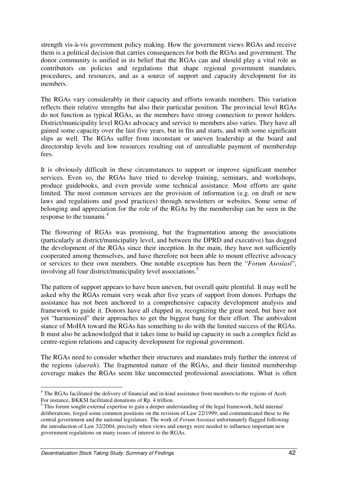strength vis-à-vis government policy making. How the government views RGAs and receive them is a political decision that carries consequences for both the RGAs and government. The donor community is unified in its belief that the RGAs can and should play a vital role as contributors on policies and regulations that shape regional government mandates, procedures, and resources, and as a source of support and capacity development for its members.

The RGAs vary considerably in their capacity and efforts towards members. This variation reflects their relative strengths but also their particular position. The provincial level RGAs do not function as typical RGAs, as the members have strong connection to power holders. District/municipality level RGAs advocacy and service to members also varies. They have all gained some capacity over the last five years, but in fits and starts, and with some significant slips as well. The RGAs suffer from inconstant or uneven leadership at the board and directorship levels and low resources resulting out of unrealiable payment of membership fees.

It is obviously difficult in these circumstances to support or improve significant member services. Even so, the RGAs have tried to develop training, seminars, and workshops, produce guidebooks, and even provide some technical assistance. Most efforts are quite limited. The most common services are the provision of information (e.g. on draft or new laws and regulations and good practices) through newsletters or websites. Some sense of belonging and appreciation for the role of the RGAs by the membership can be seen in the response to the tsunami.<sup>4</sup>

The flowering of RGAs was promising, but the fragmentation among the associations (particularly at district/municipality level, and between the DPRD and executive) has dogged the development of the RGAs since their inception. In the main, they have not sufficiently cooperated among themselves, and have therefore not been able to mount effective advocacy or services to their own members. One notable exception has been the "*Forum Asosiasi*", involving all four district/municipality level associations.<sup>5</sup>

The pattern of support appears to have been uneven, but overall quite plentiful. It may well be asked why the RGAs remain very weak after five years of support from donors. Perhaps the assistance has not been anchored to a comprehensive capacity development analysis and framework to guide it. Donors have all chipped in, recognizing the great need, but have not yet "harmonized" their approaches to get the biggest bang for their effort. The ambivalent stance of MoHA toward the RGAs has something to do with the limited success of the RGAs. It must also be acknowledged that it takes time to build up capacity in such a complex field as centre-region relations and capacity development for regional government.

The RGAs need to consider whether their structures and mandates truly further the interest of the regions (*daerah*). The fragmented nature of the RGAs, and their limited membership coverage makes the RGAs seem like unconnected professional associations. What is often

<sup>&</sup>lt;sup>4</sup> The RGAs facilitated the delivery of financial and in-kind assistance from members to the regions of Aceh. For instance, BKKSI facilitated donations of Rp. 4 trillion.

<sup>&</sup>lt;sup>5</sup> This forum sought external expertise to gain a deeper understanding of the legal framework, held internal deliberations, forged some common positions on the revision of Law 22/1999, and communicated these to the central government and the national legislature. The work of *Forum Asosiasi* unfortunately flagged following the introduction of Law 32/2004, precisely when views and energy were needed to influence important new government regulations on many issues of interest to the RGAs.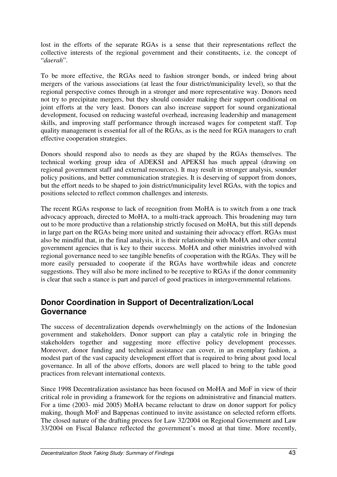lost in the efforts of the separate RGAs is a sense that their representations reflect the collective interests of the regional government and their constituents, i.e. the concept of "*daerah*".

To be more effective, the RGAs need to fashion stronger bonds, or indeed bring about mergers of the various associations (at least the four district/municipality level), so that the regional perspective comes through in a stronger and more representative way. Donors need not try to precipitate mergers, but they should consider making their support conditional on joint efforts at the very least. Donors can also increase support for sound organizational development, focused on reducing wasteful overhead, increasing leadership and management skills, and improving staff performance through increased wages for competent staff. Top quality management is essential for all of the RGAs, as is the need for RGA managers to craft effective cooperation strategies.

Donors should respond also to needs as they are shaped by the RGAs themselves. The technical working group idea of ADEKSI and APEKSI has much appeal (drawing on regional government staff and external resources). It may result in stronger analysis, sounder policy positions, and better communication strategies. It is deserving of support from donors, but the effort needs to be shaped to join district/municipality level RGAs, with the topics and positions selected to reflect common challenges and interests.

The recent RGAs response to lack of recognition from MoHA is to switch from a one track advocacy approach, directed to MoHA, to a multi-track approach. This broadening may turn out to be more productive than a relationship strictly focused on MoHA, but this still depends in large part on the RGAs being more united and sustaining their advocacy effort. RGAs must also be mindful that, in the final analysis, it is their relationship with MoHA and other central government agencies that is key to their success. MoHA and other ministries involved with regional governance need to see tangible benefits of cooperation with the RGAs. They will be more easily persuaded to cooperate if the RGAs have worthwhile ideas and concrete suggestions. They will also be more inclined to be receptive to RGAs if the donor community is clear that such a stance is part and parcel of good practices in intergovernmental relations.

#### **Donor Coordination in Support of Decentralization/Local Governance**

The success of decentralization depends overwhelmingly on the actions of the Indonesian government and stakeholders. Donor support can play a catalytic role in bringing the stakeholders together and suggesting more effective policy development processes. Moreover, donor funding and technical assistance can cover, in an exemplary fashion, a modest part of the vast capacity development effort that is required to bring about good local governance. In all of the above efforts, donors are well placed to bring to the table good practices from relevant international contexts.

Since 1998 Decentralization assistance has been focused on MoHA and MoF in view of their critical role in providing a framework for the regions on administrative and financial matters. For a time (2003- mid 2005) MoHA became reluctant to draw on donor support for policy making, though MoF and Bappenas continued to invite assistance on selected reform efforts. The closed nature of the drafting process for Law 32/2004 on Regional Government and Law 33/2004 on Fiscal Balance reflected the government's mood at that time. More recently,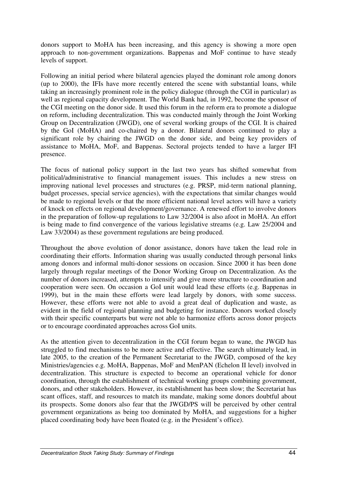donors support to MoHA has been increasing, and this agency is showing a more open approach to non-government organizations. Bappenas and MoF continue to have steady levels of support.

Following an initial period where bilateral agencies played the dominant role among donors (up to 2000), the IFIs have more recently entered the scene with substantial loans, while taking an increasingly prominent role in the policy dialogue (through the CGI in particular) as well as regional capacity development. The World Bank had, in 1992, become the sponsor of the CGI meeting on the donor side. It used this forum in the reform era to promote a dialogue on reform, including decentralization. This was conducted mainly through the Joint Working Group on Decentralization (JWGD), one of several working groups of the CGI. It is chaired by the GoI (MoHA) and co-chaired by a donor. Bilateral donors continued to play a significant role by chairing the JWGD on the donor side, and being key providers of assistance to MoHA, MoF, and Bappenas. Sectoral projects tended to have a larger IFI presence.

The focus of national policy support in the last two years has shifted somewhat from political/administrative to financial management issues. This includes a new stress on improving national level processes and structures (e.g. PRSP, mid-term national planning, budget processes, special service agencies), with the expectations that similar changes would be made to regional levels or that the more efficient national level actors will have a variety of knock on effects on regional development/governance. A renewed effort to involve donors in the preparation of follow-up regulations to Law 32/2004 is also afoot in MoHA. An effort is being made to find convergence of the various legislative streams (e.g. Law 25/2004 and Law 33/2004) as these government regulations are being produced.

Throughout the above evolution of donor assistance, donors have taken the lead role in coordinating their efforts. Information sharing was usually conducted through personal links among donors and informal multi-donor sessions on occasion. Since 2000 it has been done largely through regular meetings of the Donor Working Group on Decentralization. As the number of donors increased, attempts to intensify and give more structure to coordination and cooperation were seen. On occasion a GoI unit would lead these efforts (e.g. Bappenas in 1999), but in the main these efforts were lead largely by donors, with some success. However, these efforts were not able to avoid a great deal of duplication and waste, as evident in the field of regional planning and budgeting for instance. Donors worked closely with their specific counterparts but were not able to harmonize efforts across donor projects or to encourage coordinated approaches across GoI units.

As the attention given to decentralization in the CGI forum began to wane, the JWGD has struggled to find mechanisms to be more active and effective. The search ultimately lead, in late 2005, to the creation of the Permanent Secretariat to the JWGD, composed of the key Ministries/agencies e.g. MoHA, Bappenas, MoF and MenPAN (Echelon II level) involved in decentralization. This structure is expected to become an operational vehicle for donor coordination, through the establishment of technical working groups combining government, donors, and other stakeholders. However, its establishment has been slow; the Secretariat has scant offices, staff, and resources to match its mandate, making some donors doubtful about its prospects. Some donors also fear that the JWGD/PS will be perceived by other central government organizations as being too dominated by MoHA, and suggestions for a higher placed coordinating body have been floated (e.g. in the President's office).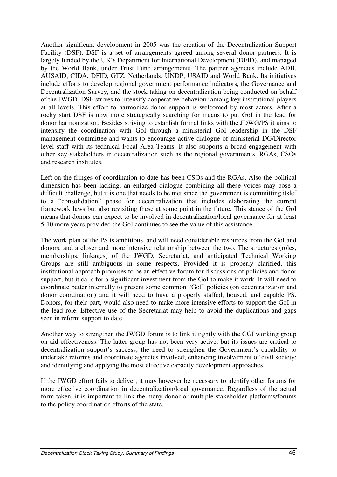Another significant development in 2005 was the creation of the Decentralization Support Facility (DSF). DSF is a set of arrangements agreed among several donor partners. It is largely funded by the UK's Department for International Development (DFID), and managed by the World Bank, under Trust Fund arrangements. The partner agencies include ADB, AUSAID, CIDA, DFID, GTZ, Netherlands, UNDP, USAID and World Bank. Its initiatives include efforts to develop regional government performance indicators, the Governance and Decentralization Survey, and the stock taking on decentralization being conducted on behalf of the JWGD. DSF strives to intensify cooperative behaviour among key institutional players at all levels. This effort to harmonize donor support is welcomed by most actors. After a rocky start DSF is now more strategically searching for means to put GoI in the lead for donor harmonization. Besides striving to establish formal links with the JDWG/PS it aims to intensify the coordination with GoI through a ministerial GoI leadership in the DSF management committee and wants to encourage active dialogue of ministerial DG/Director level staff with its technical Focal Area Teams. It also supports a broad engagement with other key stakeholders in decentralization such as the regional governments, RGAs, CSOs and research institutes.

Left on the fringes of coordination to date has been CSOs and the RGAs. Also the political dimension has been lacking; an enlarged dialogue combining all these voices may pose a difficult challenge, but it is one that needs to be met since the government is committing itslef to a "consolidation" phase for decentralization that includes elaborating the current framework laws but also revisiting these at some point in the future. This stance of the GoI means that donors can expect to be involved in decentralization/local governance for at least 5-10 more years provided the GoI continues to see the value of this assistance.

The work plan of the PS is ambitious, and will need considerable resources from the GoI and donors, and a closer and more intensive relationship between the two. The structures (roles, memberships, linkages) of the JWGD, Secretariat, and anticipated Technical Working Groups are still ambiguous in some respects. Provided it is properly clarified, this institutional approach promises to be an effective forum for discussions of policies and donor support, but it calls for a significant investment from the GoI to make it work. It will need to coordinate better internally to present some common "GoI" policies (on decentralization and donor coordination) and it will need to have a properly staffed, housed, and capable PS. Donors, for their part, would also need to make more intensive efforts to support the GoI in the lead role. Effective use of the Secretariat may help to avoid the duplications and gaps seen in reform support to date.

Another way to strengthen the JWGD forum is to link it tightly with the CGI working group on aid effectiveness. The latter group has not been very active, but its issues are critical to decentralization support's success; the need to strengthen the Government's capability to undertake reforms and coordinate agencies involved; enhancing involvement of civil society; and identifying and applying the most effective capacity development approaches.

If the JWGD effort fails to deliver, it may however be necessary to identify other forums for more effective coordination in decentralization/local governance. Regardless of the actual form taken, it is important to link the many donor or multiple-stakeholder platforms/forums to the policy coordination efforts of the state.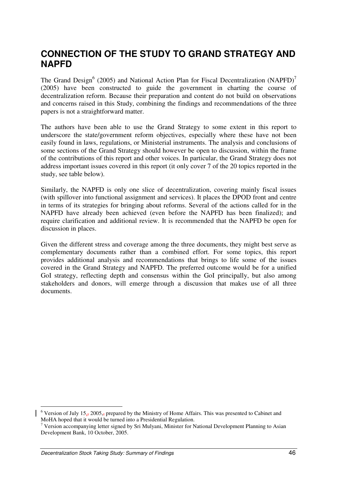# **CONNECTION OF THE STUDY TO GRAND STRATEGY AND NAPFD**

The Grand Design<sup>6</sup> (2005) and National Action Plan for Fiscal Decentralization (NAPFD)<sup>7</sup> (2005) have been constructed to guide the government in charting the course of decentralization reform. Because their preparation and content do not build on observations and concerns raised in this Study, combining the findings and recommendations of the three papers is not a straightforward matter.

The authors have been able to use the Grand Strategy to some extent in this report to underscore the state/government reform objectives, especially where these have not been easily found in laws, regulations, or Ministerial instruments. The analysis and conclusions of some sections of the Grand Strategy should however be open to discussion, within the frame of the contributions of this report and other voices. In particular, the Grand Strategy does not address important issues covered in this report (it only cover 7 of the 20 topics reported in the study, see table below).

Similarly, the NAPFD is only one slice of decentralization, covering mainly fiscal issues (with spillover into functional assignment and services). It places the DPOD front and centre in terms of its strategies for bringing about reforms. Several of the actions called for in the NAPFD have already been achieved (even before the NAPFD has been finalized); and require clarification and additional review. It is recommended that the NAPFD be open for discussion in places.

Given the different stress and coverage among the three documents, they might best serve as complementary documents rather than a combined effort. For some topics, this report provides additional analysis and recommendations that brings to life some of the issues covered in the Grand Strategy and NAPFD. The preferred outcome would be for a unified GoI strategy, reflecting depth and consensus within the GoI principally, but also among stakeholders and donors, will emerge through a discussion that makes use of all three documents.

<sup>&</sup>lt;sup>6</sup> Version of July 15<sub>2</sub>, 2005, prepared by the Ministry of Home Affairs. This was presented to Cabinet and MoHA hoped that it would be turned into a Presidential Regulation.

<sup>&</sup>lt;sup>7</sup> Version accompanying letter signed by Sri Mulyani, Minister for National Development Planning to Asian Development Bank, 10 October, 2005.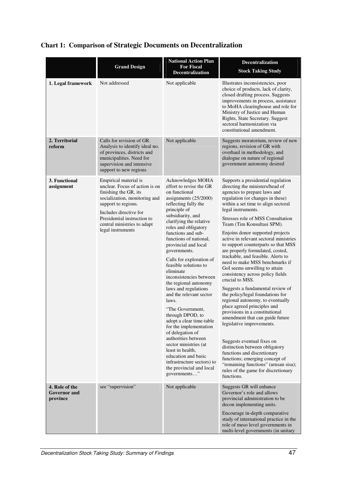|                                                   | <b>Grand Design</b>                                                                                                                                                                                                                                   | <b>National Action Plan</b><br><b>For Fiscal</b><br><b>Decentralization</b>                                                                                                                                                                                                                                                                                                                                                                                                                                                                                                                                                                                                                                                                                               | Decentralization<br><b>Stock Taking Study</b>                                                                                                                                                                                                                                                                                                                                                                                                                                                                                                                                                                                                                                                                                                                                                                                                                                                                                                                                                                                                                                 |
|---------------------------------------------------|-------------------------------------------------------------------------------------------------------------------------------------------------------------------------------------------------------------------------------------------------------|---------------------------------------------------------------------------------------------------------------------------------------------------------------------------------------------------------------------------------------------------------------------------------------------------------------------------------------------------------------------------------------------------------------------------------------------------------------------------------------------------------------------------------------------------------------------------------------------------------------------------------------------------------------------------------------------------------------------------------------------------------------------------|-------------------------------------------------------------------------------------------------------------------------------------------------------------------------------------------------------------------------------------------------------------------------------------------------------------------------------------------------------------------------------------------------------------------------------------------------------------------------------------------------------------------------------------------------------------------------------------------------------------------------------------------------------------------------------------------------------------------------------------------------------------------------------------------------------------------------------------------------------------------------------------------------------------------------------------------------------------------------------------------------------------------------------------------------------------------------------|
| 1. Legal framework                                | Not addressed                                                                                                                                                                                                                                         | Not applicable                                                                                                                                                                                                                                                                                                                                                                                                                                                                                                                                                                                                                                                                                                                                                            | Illustrates inconsistencies, poor<br>choice of products, lack of clarity,<br>closed drafting process. Suggests<br>improvements in process, assistance<br>to MoHA clearinghouse and role for<br>Ministry of Justice and Human<br>Rights, State Secretary. Suggest<br>sectoral harmonization via<br>constitutional amendment.                                                                                                                                                                                                                                                                                                                                                                                                                                                                                                                                                                                                                                                                                                                                                   |
| 2. Territorial<br>reform                          | Calls for revision of GR.<br>Analysis to identify ideal no.<br>of provinces, districts and<br>municipalities. Need for<br>supervision and intensive<br>support to new regions                                                                         | Not applicable                                                                                                                                                                                                                                                                                                                                                                                                                                                                                                                                                                                                                                                                                                                                                            | Suggests moratorium, review of new<br>regions, revision of GR with<br>overhaul in methodology, and<br>dialogue on nature of regional<br>government autonomy desired                                                                                                                                                                                                                                                                                                                                                                                                                                                                                                                                                                                                                                                                                                                                                                                                                                                                                                           |
| 3. Functional<br>assignment                       | Empirical material is<br>unclear. Focus of action is on<br>finishing the GR, its<br>socialization, monitoring and<br>support to regions.<br>Includes directive for<br>Presidential instruction to<br>central ministries to adapt<br>legal instruments | Acknowledges MOHA<br>effort to revise the GR<br>on functional<br>assignments $(25/2000)$<br>reflecting fully the<br>principle of<br>subsidiarity, and<br>clarifying the relative<br>roles and obligatory<br>functions and sub-<br>functions of national,<br>provincial and local<br>governments.<br>Calls for exploration of<br>feasible solutions to<br>eliminate<br>inconsistencies between<br>the regional autonomy<br>laws and regulations<br>and the relevant sector<br>laws.<br>"The Government,<br>through DPOD, to<br>adopt a clear time-table<br>for the implementation<br>of delegation of<br>authorities between<br>sector ministries (at<br>least in health,<br>education and basic<br>infrastructure sectors) to<br>the provincial and local<br>governments" | Supports a presidential regulation<br>directing the ministers/head of<br>agencies to prepare laws and<br>regulation (or changes in these)<br>within a set time to align sectoral<br>legal instruments.<br>Stresses role of MSS Consultation<br>Team (Tim Konsultasi SPM).<br>Enjoins donor supported projects<br>active in relevant sectoral ministries<br>to support counterparts so that MSS<br>are properly formulated, costed,<br>trackable, and feasible. Alerts to<br>need to make MSS benchmarks if<br>GoI seems unwilling to attain<br>consistency across policy fields<br>crucial to MSS.<br>Suggests a fundamental review of<br>the policy/legal foundations for<br>regional autonomy, to eventually<br>place agreed principles and<br>provisions in a constitutional<br>amendment that can guide future<br>legislative improvements.<br>Suggests eventual fixes on<br>distinction between obligatory<br>functions and discretionary<br>functions; emerging concept of<br>"remaining functions" (urusan sisa);<br>rules of the game for discretionary<br>functions. |
| 4. Role of the<br><b>Governor</b> and<br>province | see "supervision"                                                                                                                                                                                                                                     | Not applicable                                                                                                                                                                                                                                                                                                                                                                                                                                                                                                                                                                                                                                                                                                                                                            | Suggests GR will enhance<br>Governor's role and allows<br>provincial administration to be<br>decon implementing units.<br>Encourage in-depth comparative<br>study of international practice in the<br>role of meso level governments in<br>multi-level governments (in unitary                                                                                                                                                                                                                                                                                                                                                                                                                                                                                                                                                                                                                                                                                                                                                                                                |

# **Chart 1: Comparison of Strategic Documents on Decentralization**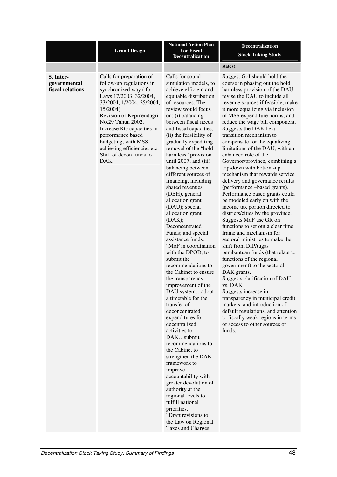|                                               | <b>Grand Design</b>                                                                                                                                                                                                                                                                                                                          | <b>National Action Plan</b><br><b>For Fiscal</b><br><b>Decentralization</b>                                                                                                                                                                                                                                                                                                                                                                                                                                                                                                                                                                                                                                                                                                                                                                                                                                                                                                                                                                                                                                                                                                       | <b>Decentralization</b><br><b>Stock Taking Study</b>                                                                                                                                                                                                                                                                                                                                                                                                                                                                                                                                                                                                                                                                                                                                                                                                                                                                                                                                                                                                                                                                                                                                                                                                                       |
|-----------------------------------------------|----------------------------------------------------------------------------------------------------------------------------------------------------------------------------------------------------------------------------------------------------------------------------------------------------------------------------------------------|-----------------------------------------------------------------------------------------------------------------------------------------------------------------------------------------------------------------------------------------------------------------------------------------------------------------------------------------------------------------------------------------------------------------------------------------------------------------------------------------------------------------------------------------------------------------------------------------------------------------------------------------------------------------------------------------------------------------------------------------------------------------------------------------------------------------------------------------------------------------------------------------------------------------------------------------------------------------------------------------------------------------------------------------------------------------------------------------------------------------------------------------------------------------------------------|----------------------------------------------------------------------------------------------------------------------------------------------------------------------------------------------------------------------------------------------------------------------------------------------------------------------------------------------------------------------------------------------------------------------------------------------------------------------------------------------------------------------------------------------------------------------------------------------------------------------------------------------------------------------------------------------------------------------------------------------------------------------------------------------------------------------------------------------------------------------------------------------------------------------------------------------------------------------------------------------------------------------------------------------------------------------------------------------------------------------------------------------------------------------------------------------------------------------------------------------------------------------------|
|                                               |                                                                                                                                                                                                                                                                                                                                              |                                                                                                                                                                                                                                                                                                                                                                                                                                                                                                                                                                                                                                                                                                                                                                                                                                                                                                                                                                                                                                                                                                                                                                                   | states).                                                                                                                                                                                                                                                                                                                                                                                                                                                                                                                                                                                                                                                                                                                                                                                                                                                                                                                                                                                                                                                                                                                                                                                                                                                                   |
| 5. Inter-<br>governmental<br>fiscal relations | Calls for preparation of<br>follow-up regulations in<br>synchronized way (for<br>Laws 17/2003, 32/2004,<br>33/2004, 1/2004, 25/2004,<br>15/2004)<br>Revision of Kepmendagri<br>No.29 Tahun 2002.<br>Increase RG capacities in<br>performance based<br>budgeting, with MSS,<br>achieving efficiencies etc.<br>Shift of decon funds to<br>DAK. | Calls for sound<br>simulation models, to<br>achieve efficient and<br>equitable distribution<br>of resources. The<br>review would focus<br>on: (i) balancing<br>between fiscal needs<br>and fiscal capacities;<br>(ii) the feasibility of<br>gradually expediting<br>removal of the "hold<br>harmless" provision<br>until $2007$ ; and (iii)<br>balancing between<br>different sources of<br>financing, including<br>shared revenues<br>(DBH), general<br>allocation grant<br>(DAU); special<br>allocation grant<br>(DAK);<br>Deconcentrated<br>Funds; and special<br>assistance funds.<br>"MoF in coordination<br>with the DPOD, to<br>submit the<br>recommendations to<br>the Cabinet to ensure<br>the transparency<br>improvement of the<br>DAU systemadopt<br>a timetable for the<br>transfer of<br>deconcentrated<br>expenditures for<br>decentralized<br>activities to<br>DAKsubmit<br>recommendations to<br>the Cabinet to<br>strengthen the DAK<br>framework to<br>improve<br>accountability with<br>greater devolution of<br>authority at the<br>regional levels to<br>fulfill national<br>priorities.<br>"Draft revisions to<br>the Law on Regional<br>Taxes and Charges | Suggest GoI should hold the<br>course in phasing out the hold<br>harmless provision of the DAU,<br>revise the DAU to include all<br>revenue sources if feasible, make<br>it more equalizing via inclusion<br>of MSS expenditure norms, and<br>reduce the wage bill component.<br>Suggests the DAK be a<br>transition mechanism to<br>compensate for the equalizing<br>limitations of the DAU, with an<br>enhanced role of the<br>Governor/province, combining a<br>top-down with bottom-up<br>mechanism that rewards service<br>delivery and governance results<br>(performance -based grants).<br>Performance based grants could<br>be modeled early on with the<br>income tax portion directed to<br>districts/cities by the province.<br>Suggests MoF use GR on<br>functions to set out a clear time<br>frame and mechanism for<br>sectoral ministries to make the<br>shift from DIP/tugas<br>pembantuan funds (that relate to<br>functions of the regional<br>government) to the sectoral<br>DAK grants.<br>Suggests clarification of DAU<br>vs. DAK<br>Suggests increase in<br>transparency in municipal credit<br>markets, and introduction of<br>default regulations, and attention<br>to fiscally weak regions in terms<br>of access to other sources of<br>funds. |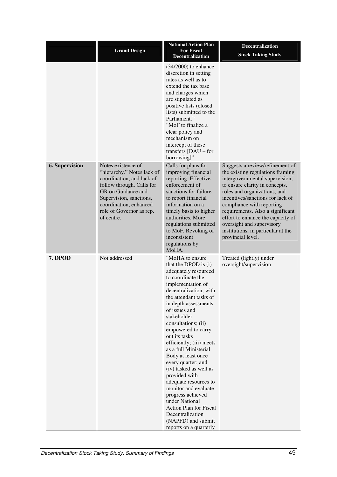|                       | <b>Grand Design</b>                                                                                                                                                                                                             | <b>National Action Plan</b><br><b>For Fiscal</b><br><b>Decentralization</b>                                                                                                                                                                                                                                                                                                                                                                                                                                                                                                                                                  | <b>Decentralization</b><br><b>Stock Taking Study</b>                                                                                                                                                                                                                                                                                                                                                      |
|-----------------------|---------------------------------------------------------------------------------------------------------------------------------------------------------------------------------------------------------------------------------|------------------------------------------------------------------------------------------------------------------------------------------------------------------------------------------------------------------------------------------------------------------------------------------------------------------------------------------------------------------------------------------------------------------------------------------------------------------------------------------------------------------------------------------------------------------------------------------------------------------------------|-----------------------------------------------------------------------------------------------------------------------------------------------------------------------------------------------------------------------------------------------------------------------------------------------------------------------------------------------------------------------------------------------------------|
|                       |                                                                                                                                                                                                                                 | $(34/2000)$ to enhance<br>discretion in setting<br>rates as well as to<br>extend the tax base<br>and charges which<br>are stipulated as<br>positive lists (closed<br>lists) submitted to the<br>Parliament."<br>"MoF to finalize a<br>clear policy and<br>mechanism on<br>intercept of these<br>transfers $[DAU - for$<br>borrowing]"                                                                                                                                                                                                                                                                                        |                                                                                                                                                                                                                                                                                                                                                                                                           |
| <b>6. Supervision</b> | Notes existence of<br>"hierarchy." Notes lack of<br>coordination, and lack of<br>follow through. Calls for<br>GR on Guidance and<br>Supervision, sanctions,<br>coordination, enhanced<br>role of Governor as rep.<br>of centre. | Calls for plans for<br>improving financial<br>reporting. Effective<br>enforcement of<br>sanctions for failure<br>to report financial<br>information on a<br>timely basis to higher<br>authorities. More<br>regulations submitted<br>to MoF. Revoking of<br>inconsistent<br>regulations by<br>MoHA.                                                                                                                                                                                                                                                                                                                           | Suggests a review/refinement of<br>the existing regulations framing<br>intergovernmental supervision,<br>to ensure clarity in concepts,<br>roles and organizations, and<br>incentives/sanctions for lack of<br>compliance with reporting<br>requirements. Also a significant<br>effort to enhance the capacity of<br>oversight and supervisory<br>institutions, in particular at the<br>provincial level. |
| 7. DPOD               | Not addressed                                                                                                                                                                                                                   | "MoHA to ensure<br>that the DPOD is (i)<br>adequately resourced<br>to coordinate the<br>implementation of<br>decentralization, with<br>the attendant tasks of<br>in depth assessments<br>of issues and<br>stakeholder<br>consultations; (ii)<br>empowered to carry<br>out its tasks<br>efficiently; (iii) meets<br>as a full Ministerial<br>Body at least once<br>every quarter; and<br>(iv) tasked as well as<br>provided with<br>adequate resources to<br>monitor and evaluate<br>progress achieved<br>under National<br><b>Action Plan for Fiscal</b><br>Decentralization<br>(NAPFD) and submit<br>reports on a quarterly | Treated (lightly) under<br>oversight/supervision                                                                                                                                                                                                                                                                                                                                                          |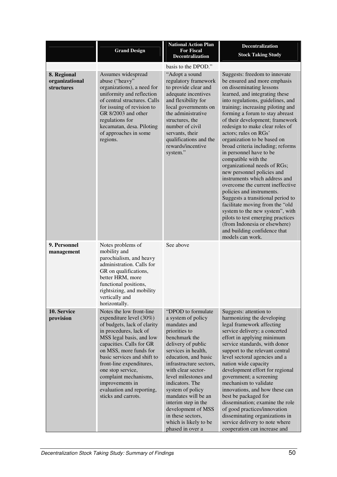|                                                    | <b>Grand Design</b>                                                                                                                                                                                                                                                                                                                                                               | <b>National Action Plan</b><br><b>For Fiscal</b><br><b>Decentralization</b>                                                                                                                                                                                                                                                                                                                                           | <b>Decentralization</b><br><b>Stock Taking Study</b>                                                                                                                                                                                                                                                                                                                                                                                                                                                                                                                                                                                                                                                                                                                                                                                                               |
|----------------------------------------------------|-----------------------------------------------------------------------------------------------------------------------------------------------------------------------------------------------------------------------------------------------------------------------------------------------------------------------------------------------------------------------------------|-----------------------------------------------------------------------------------------------------------------------------------------------------------------------------------------------------------------------------------------------------------------------------------------------------------------------------------------------------------------------------------------------------------------------|--------------------------------------------------------------------------------------------------------------------------------------------------------------------------------------------------------------------------------------------------------------------------------------------------------------------------------------------------------------------------------------------------------------------------------------------------------------------------------------------------------------------------------------------------------------------------------------------------------------------------------------------------------------------------------------------------------------------------------------------------------------------------------------------------------------------------------------------------------------------|
|                                                    |                                                                                                                                                                                                                                                                                                                                                                                   | basis to the DPOD."                                                                                                                                                                                                                                                                                                                                                                                                   |                                                                                                                                                                                                                                                                                                                                                                                                                                                                                                                                                                                                                                                                                                                                                                                                                                                                    |
| 8. Regional<br>organizational<br><b>structures</b> | Assumes widespread<br>abuse ("heavy"<br>organizations), a need for<br>uniformity and reflection<br>of central structures. Calls<br>for issuing of revision to<br>GR 8/2003 and other<br>regulations for<br>kecamatan, desa. Piloting<br>of approaches in some<br>regions.                                                                                                         | "Adopt a sound<br>regulatory framework<br>to provide clear and<br>adequate incentives<br>and flexibility for<br>local governments on<br>the administrative<br>structures, the<br>number of civil<br>servants, their<br>qualifications and the<br>rewards/incentive<br>system."                                                                                                                                        | Suggests: freedom to innovate<br>be ensured and more emphasis<br>on disseminating lessons<br>learned, and integrating these<br>into regulations, guidelines, and<br>training; increasing piloting and<br>forming a forum to stay abreast<br>of their development; framework<br>redesign to make clear roles of<br>actors; rules on RGs'<br>organization to be based on<br>broad criteria including; reforms<br>in personnel have to be<br>compatible with the<br>organizational needs of RGs;<br>new personnel policies and<br>instruments which address and<br>overcome the current ineffective<br>policies and instruments.<br>Suggests a transitional period to<br>facilitate moving from the "old<br>system to the new system", with<br>pilots to test emerging practices<br>(from Indonesia or elsewhere)<br>and building confidence that<br>models can work. |
| 9. Personnel<br>management                         | Notes problems of<br>mobility and<br>parochialism, and heavy<br>administration. Calls for<br>GR on qualifications,<br>better HRM, more<br>functional positions,<br>rightsizing, and mobility<br>vertically and<br>horizontally.                                                                                                                                                   | See above                                                                                                                                                                                                                                                                                                                                                                                                             |                                                                                                                                                                                                                                                                                                                                                                                                                                                                                                                                                                                                                                                                                                                                                                                                                                                                    |
| 10. Service<br>provision                           | Notes the low front-line<br>expenditure level $(30\%)$<br>of budgets, lack of clarity<br>in procedures, lack of<br>MSS legal basis, and low<br>capacities. Calls for GR<br>on MSS, more funds for<br>basic services and shift to<br>front-line expenditures,<br>one stop service,<br>complaint mechanisms,<br>improvements in<br>evaluation and reporting,<br>sticks and carrots. | "DPOD to formulate<br>a system of policy<br>mandates and<br>priorities to<br>benchmark the<br>delivery of public<br>services in health,<br>education, and basic<br>infrastructure sectors,<br>with clear sector-<br>level milestones and<br>indicators. The<br>system of policy<br>mandates will be an<br>interim step in the<br>development of MSS<br>in these sectors,<br>which is likely to be<br>phased in over a | Suggests: attention to<br>harmonizing the developing<br>legal framework affecting<br>service delivery; a concerted<br>effort in applying minimum<br>service standards, with donor<br>support to the relevant central<br>level sectoral agencies and a<br>nation wide capacity<br>development effort for regional<br>government; a screening<br>mechanism to validate<br>innovations, and how these can<br>best be packaged for<br>dissemination; examine the role<br>of good practices/innovation<br>disseminating organizations in<br>service delivery to note where<br>cooperation can increase and                                                                                                                                                                                                                                                              |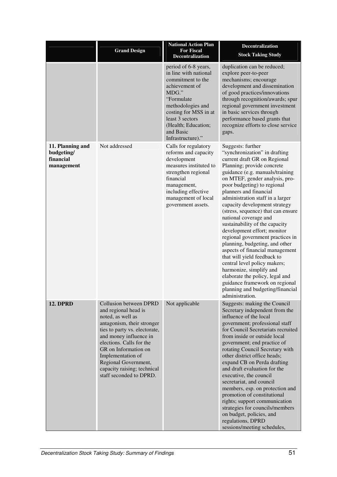|                                                           | <b>Grand Design</b>                                                                                                                                                                                                                                                                                                            | <b>National Action Plan</b><br><b>For Fiscal</b><br>Decentralization                                                                                                                                                                  | <b>Decentralization</b><br><b>Stock Taking Study</b>                                                                                                                                                                                                                                                                                                                                                                                                                                                                                                                                                                                                                                                                                                                               |
|-----------------------------------------------------------|--------------------------------------------------------------------------------------------------------------------------------------------------------------------------------------------------------------------------------------------------------------------------------------------------------------------------------|---------------------------------------------------------------------------------------------------------------------------------------------------------------------------------------------------------------------------------------|------------------------------------------------------------------------------------------------------------------------------------------------------------------------------------------------------------------------------------------------------------------------------------------------------------------------------------------------------------------------------------------------------------------------------------------------------------------------------------------------------------------------------------------------------------------------------------------------------------------------------------------------------------------------------------------------------------------------------------------------------------------------------------|
|                                                           |                                                                                                                                                                                                                                                                                                                                | period of 6-8 years,<br>in line with national<br>commitment to the<br>achievement of<br>MDG."<br>"Formulate<br>methodologies and<br>costing for MSS in at<br>least 3 sectors<br>(Health; Education;<br>and Basic<br>Infrastructure)." | duplication can be reduced;<br>explore peer-to-peer<br>mechanisms; encourage<br>development and dissemination<br>of good practices/innovations<br>through recognition/awards; spur<br>regional government investment<br>in basic services through<br>performance based grants that<br>recognize efforts to close service<br>gaps.                                                                                                                                                                                                                                                                                                                                                                                                                                                  |
| 11. Planning and<br>budgeting/<br>financial<br>management | Not addressed                                                                                                                                                                                                                                                                                                                  | Calls for regulatory<br>reforms and capacity<br>development<br>measures instituted to<br>strengthen regional<br>financial<br>management,<br>including effective<br>management of local<br>government assets.                          | Suggests: further<br>"synchronization" in drafting<br>current draft GR on Regional<br>Planning; provide concrete<br>guidance (e.g. manuals/training<br>on MTEF, gender analysis, pro-<br>poor budgeting) to regional<br>planners and financial<br>administration staff in a larger<br>capacity development strategy<br>(stress, sequence) that can ensure<br>national coverage and<br>sustainability of the capacity<br>development effort; monitor<br>regional government practices in<br>planning, budgeting, and other<br>aspects of financial management<br>that will yield feedback to<br>central level policy makers;<br>harmonize, simplify and<br>elaborate the policy, legal and<br>guidance framework on regional<br>planning and budgeting/financial<br>administration. |
| <b>12. DPRD</b>                                           | <b>Collusion between DPRD</b><br>and regional head is<br>noted, as well as<br>antagonism, their stronger<br>ties to party vs. electorate,<br>and money influence in<br>elections. Calls for the<br>GR on Information on<br>Implementation of<br>Regional Government,<br>capacity raising; technical<br>staff seconded to DPRD. | Not applicable                                                                                                                                                                                                                        | Suggests: making the Council<br>Secretary independent from the<br>influence of the local<br>government; professional staff<br>for Council Secretariats recruited<br>from inside or outside local<br>government; end practice of<br>rotating Council Secretary with<br>other district office heads;<br>expand CB on Perda drafting<br>and draft evaluation for the<br>executive, the council<br>secretariat, and council<br>members, esp. on protection and<br>promotion of constitutional<br>rights; support communication<br>strategies for councils/members<br>on budget, policies, and<br>regulations, DPRD<br>sessions/meeting schedules,                                                                                                                                      |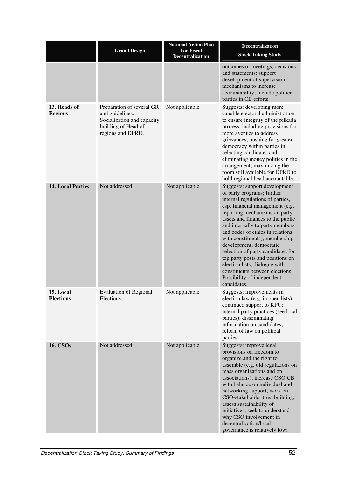|                                | <b>Grand Design</b>                                                                                                    | <b>National Action Plan</b><br><b>For Fiscal</b><br>Decentralization | Decentralization<br><b>Stock Taking Study</b>                                                                                                                                                                                                                                                                                                                                                                                                                                                                                          |
|--------------------------------|------------------------------------------------------------------------------------------------------------------------|----------------------------------------------------------------------|----------------------------------------------------------------------------------------------------------------------------------------------------------------------------------------------------------------------------------------------------------------------------------------------------------------------------------------------------------------------------------------------------------------------------------------------------------------------------------------------------------------------------------------|
|                                |                                                                                                                        |                                                                      | outcomes of meetings, decisions<br>and statements; support<br>development of supervision<br>mechanisms to increase<br>accountability; include political<br>parties in CB efforts                                                                                                                                                                                                                                                                                                                                                       |
| 13. Heads of<br><b>Regions</b> | Preparation of several GR<br>and guidelines.<br>Socialization and capacity<br>building of Head of<br>regions and DPRD. | Not applicable                                                       | Suggests: developing more<br>capable electoral administration<br>to ensure integrity of the pilkada<br>process, including provisions for<br>more avenues to address<br>grievances; pushing for greater<br>democracy within parties in<br>selecting candidates and<br>eliminating money politics in the<br>arrangement; maximizing the<br>room still available for DPRD to<br>hold regional head accountable.                                                                                                                           |
| <b>14. Local Parties</b>       | Not addressed                                                                                                          | Not applicable                                                       | Suggests: support development<br>of party programs; further<br>internal regulations of parties,<br>esp. financial management (e.g.<br>reporting mechanisms on party<br>assets and finances to the public<br>and internally to party members<br>and codes of ethics in relations<br>with constituents); membership<br>development; democratic<br>selection of party candidates for<br>top party posts and positions on<br>election lists; dialogue with<br>constituents between elections.<br>Possibility of independent<br>candidates. |
| 15. Local<br><b>Elections</b>  | <b>Evaluation of Regional</b><br>Elections.                                                                            | Not applicable                                                       | Suggests: improvements in<br>election law (e.g. in open lists);<br>continued support to KPU;<br>internal party practices (see local<br>parties); disseminating<br>information on candidates;<br>reform of law on political<br>parties.                                                                                                                                                                                                                                                                                                 |
| <b>16. CSOs</b>                | Not addressed                                                                                                          | Not applicable                                                       | Suggests: improve legal<br>provisions on freedom to<br>organize and the right to<br>assemble (e.g. old regulations on<br>mass organizations and on<br>associations); increase CSO CB<br>with balance on individual and<br>networking support; work on<br>CSO-stakeholder trust building;<br>assess sustainability of<br>initiatives; seek to understand<br>why CSO involvement in<br>decentralization/local<br>governance is relatively low;                                                                                           |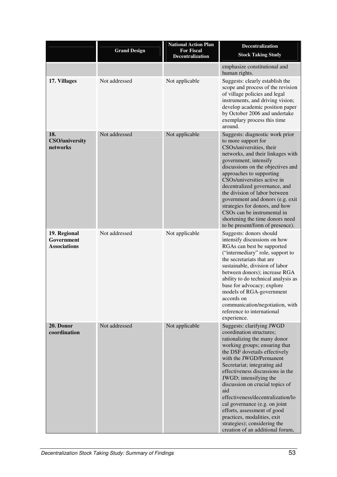|                                                   | <b>Grand Design</b> | <b>National Action Plan</b><br><b>For Fiscal</b> | <b>Decentralization</b>                                                                                                                                                                                                                                                                                                                                                                                                                                                                                                            |
|---------------------------------------------------|---------------------|--------------------------------------------------|------------------------------------------------------------------------------------------------------------------------------------------------------------------------------------------------------------------------------------------------------------------------------------------------------------------------------------------------------------------------------------------------------------------------------------------------------------------------------------------------------------------------------------|
|                                                   |                     | <b>Decentralization</b>                          | <b>Stock Taking Study</b>                                                                                                                                                                                                                                                                                                                                                                                                                                                                                                          |
|                                                   |                     |                                                  | emphasize constitutional and<br>human rights.                                                                                                                                                                                                                                                                                                                                                                                                                                                                                      |
| 17. Villages                                      | Not addressed       | Not applicable                                   | Suggests: clearly establish the<br>scope and process of the revision<br>of village policies and legal<br>instruments, and driving vision;<br>develop academic position paper<br>by October 2006 and undertake<br>exemplary process this time<br>around.                                                                                                                                                                                                                                                                            |
| 18.<br><b>CSO/university</b><br>networks          | Not addressed       | Not applicable                                   | Suggests: diagnostic work prior<br>to more support for<br>CSOs/universities, their<br>networks, and their linkages with<br>government; intensify<br>discussions on the objectives and<br>approaches to supporting<br>CSOs/universities active in<br>decentralized governance, and<br>the division of labor between<br>government and donors (e.g. exit<br>strategies for donors, and how<br>CSOs can be instrumental in<br>shortening the time donors need<br>to be present/form of presence).                                     |
| 19. Regional<br>Government<br><b>Associations</b> | Not addressed       | Not applicable                                   | Suggests: donors should<br>intensify discussions on how<br>RGAs can best be supported<br>("intermediary" role, support to<br>the secretariats that are<br>sustainable, division of labor<br>between donors); increase RGA<br>ability to do technical analysis as<br>base for advocacy; explore<br>models of RGA-government<br>accords on<br>communication/negotiation, with<br>reference to international<br>experience.                                                                                                           |
| 20. Donor<br>coordination                         | Not addressed       | Not applicable                                   | Suggests: clarifying JWGD<br>coordination structures;<br>rationalizing the many donor<br>working groups; ensuring that<br>the DSF dovetails effectively<br>with the JWGD/Permanent<br>Secretariat; integrating aid<br>effectiveness discussions in the<br>JWGD; intensifying the<br>discussion on crucial topics of<br>aid<br>effectiveness/decentralization/lo<br>cal governance (e.g. on joint<br>efforts, assessment of good<br>practices, modalities, exit<br>strategies); considering the<br>creation of an additional forum, |